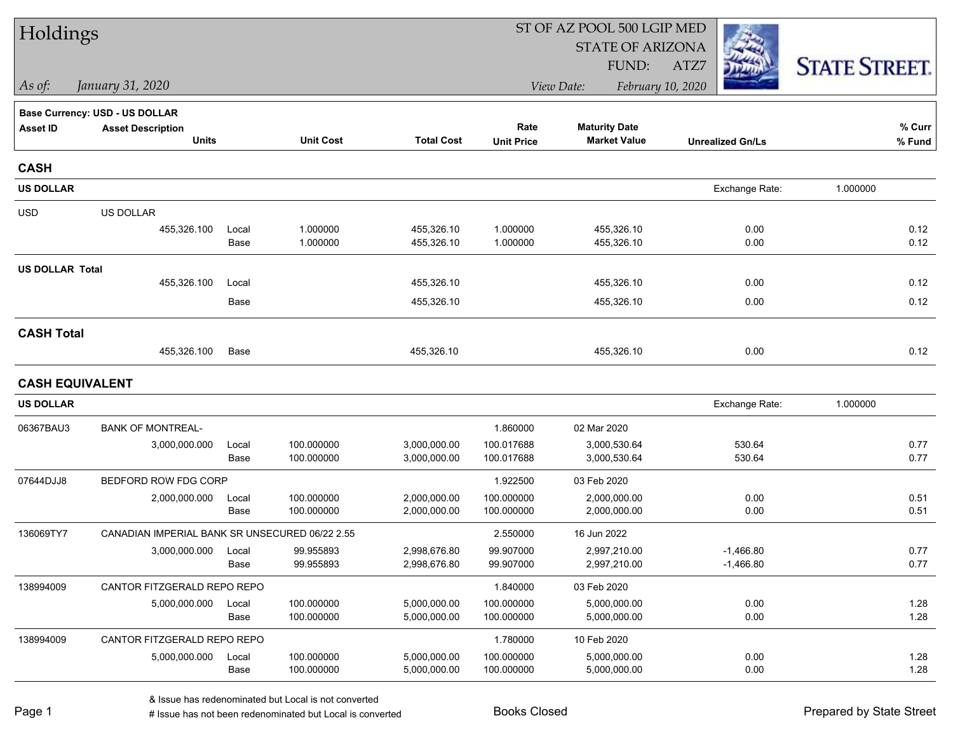| Holdings               |                                                |               |                          |                              | ST OF AZ POOL 500 LGIP MED |                                             |                         |                      |  |  |
|------------------------|------------------------------------------------|---------------|--------------------------|------------------------------|----------------------------|---------------------------------------------|-------------------------|----------------------|--|--|
|                        |                                                |               |                          |                              |                            | <b>STATE OF ARIZONA</b>                     |                         |                      |  |  |
|                        |                                                |               |                          |                              |                            | FUND:                                       | ATZ7                    | <b>STATE STREET.</b> |  |  |
| As of:                 | January 31, 2020                               |               |                          |                              |                            | View Date:                                  | February 10, 2020       |                      |  |  |
|                        | Base Currency: USD - US DOLLAR                 |               |                          |                              |                            |                                             |                         |                      |  |  |
| <b>Asset ID</b>        | <b>Asset Description</b><br><b>Units</b>       |               | <b>Unit Cost</b>         | <b>Total Cost</b>            | Rate<br><b>Unit Price</b>  | <b>Maturity Date</b><br><b>Market Value</b> | <b>Unrealized Gn/Ls</b> | % Curr<br>% Fund     |  |  |
|                        |                                                |               |                          |                              |                            |                                             |                         |                      |  |  |
| <b>CASH</b>            |                                                |               |                          |                              |                            |                                             |                         |                      |  |  |
| <b>US DOLLAR</b>       |                                                |               |                          |                              |                            |                                             | Exchange Rate:          | 1.000000             |  |  |
| <b>USD</b>             | US DOLLAR                                      |               |                          |                              |                            |                                             |                         |                      |  |  |
|                        | 455,326.100                                    | Local         | 1.000000                 | 455,326.10                   | 1.000000                   | 455,326.10                                  | 0.00                    | 0.12                 |  |  |
|                        |                                                | Base          | 1.000000                 | 455,326.10                   | 1.000000                   | 455,326.10                                  | 0.00                    | 0.12                 |  |  |
| <b>US DOLLAR Total</b> |                                                |               |                          |                              |                            |                                             |                         | 0.12                 |  |  |
|                        | 455,326.100                                    | Local<br>Base |                          | 455,326.10<br>455,326.10     |                            | 455,326.10<br>455,326.10                    | 0.00<br>0.00            | 0.12                 |  |  |
|                        |                                                |               |                          |                              |                            |                                             |                         |                      |  |  |
| <b>CASH Total</b>      |                                                |               |                          |                              |                            |                                             |                         |                      |  |  |
|                        | 455,326.100                                    | Base          |                          | 455,326.10                   |                            | 455,326.10                                  | 0.00                    | 0.12                 |  |  |
| <b>CASH EQUIVALENT</b> |                                                |               |                          |                              |                            |                                             |                         |                      |  |  |
| <b>US DOLLAR</b>       |                                                |               |                          |                              |                            |                                             | Exchange Rate:          | 1.000000             |  |  |
| 06367BAU3              | <b>BANK OF MONTREAL-</b>                       |               |                          |                              | 1.860000                   | 02 Mar 2020                                 |                         |                      |  |  |
|                        | 3,000,000.000                                  | Local         | 100.000000               | 3,000,000.00                 | 100.017688                 | 3,000,530.64                                | 530.64                  | 0.77                 |  |  |
|                        |                                                | Base          | 100.000000               | 3,000,000.00                 | 100.017688                 | 3,000,530.64                                | 530.64                  | 0.77                 |  |  |
| 07644DJJ8              | BEDFORD ROW FDG CORP                           |               |                          |                              | 1.922500                   | 03 Feb 2020                                 |                         |                      |  |  |
|                        | 2,000,000.000                                  | Local<br>Base | 100.000000<br>100.000000 | 2,000,000.00<br>2,000,000.00 | 100.000000<br>100.000000   | 2,000,000.00<br>2,000,000.00                | 0.00<br>0.00            | 0.51<br>0.51         |  |  |
| 136069TY7              | CANADIAN IMPERIAL BANK SR UNSECURED 06/22 2.55 |               |                          |                              | 2.550000                   | 16 Jun 2022                                 |                         |                      |  |  |
|                        | 3,000,000.000                                  | Local         | 99.955893                | 2,998,676.80                 | 99.907000                  | 2,997,210.00                                | $-1.466.80$             | 0.77                 |  |  |
|                        |                                                | Base          | 99.955893                | 2,998,676.80                 | 99.907000                  | 2,997,210.00                                | $-1,466.80$             | 0.77                 |  |  |
| 138994009              | CANTOR FITZGERALD REPO REPO                    |               |                          |                              | 1.840000                   | 03 Feb 2020                                 |                         |                      |  |  |
|                        | 5,000,000.000                                  | Local         | 100.000000               | 5,000,000.00                 | 100.000000                 | 5,000,000.00                                | 0.00                    | 1.28                 |  |  |
|                        |                                                | Base          | 100.000000               | 5,000,000.00                 | 100.000000                 | 5,000,000.00                                | 0.00                    | 1.28                 |  |  |
| 138994009              | CANTOR FITZGERALD REPO REPO                    |               |                          |                              | 1.780000                   | 10 Feb 2020                                 |                         |                      |  |  |
|                        | 5,000,000.000                                  | Local<br>Base | 100.000000<br>100.000000 | 5,000,000.00<br>5,000,000.00 | 100.000000<br>100.000000   | 5,000,000.00<br>5,000,000.00                | 0.00<br>0.00            | 1.28<br>1.28         |  |  |
|                        |                                                |               |                          |                              |                            |                                             |                         |                      |  |  |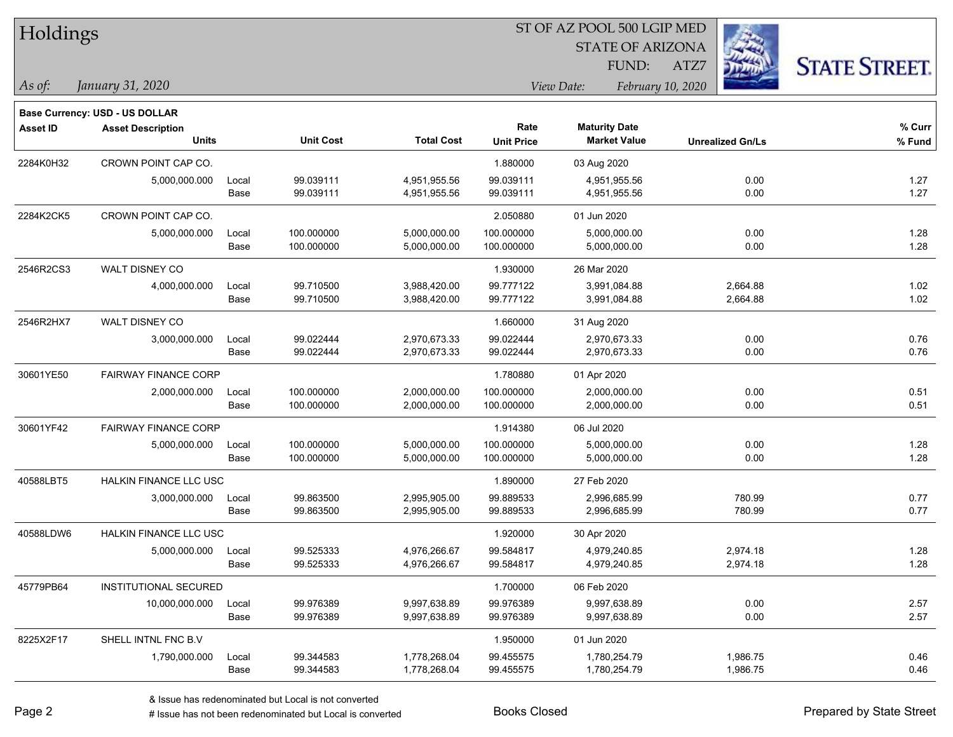| Holdings |  |
|----------|--|
|----------|--|

STATE OF ARIZONA FUND:

ATZ7



*As of: View Date: February 10, 2020*

| As of: | January 31, 2020 |  |
|--------|------------------|--|
|        |                  |  |

| Base Currency: USD - US DOLLAR |              |                                                                                                                                                |                  |                   |                      |                     |                         |
|--------------------------------|--------------|------------------------------------------------------------------------------------------------------------------------------------------------|------------------|-------------------|----------------------|---------------------|-------------------------|
| <b>Asset Description</b>       |              |                                                                                                                                                |                  | Rate              | <b>Maturity Date</b> |                     | $%$ Curr                |
|                                |              |                                                                                                                                                |                  |                   |                      |                     | % Fund                  |
| CROWN POINT CAP CO.            |              |                                                                                                                                                |                  | 1.880000          | 03 Aug 2020          |                     |                         |
| 5,000,000.000                  | Local        | 99.039111                                                                                                                                      | 4,951,955.56     | 99.039111         | 4,951,955.56         | 0.00                | 1.27                    |
|                                | Base         | 99.039111                                                                                                                                      | 4,951,955.56     | 99.039111         | 4,951,955.56         | 0.00                | 1.27                    |
| CROWN POINT CAP CO.            |              |                                                                                                                                                |                  | 2.050880          | 01 Jun 2020          |                     |                         |
| 5,000,000.000                  | Local        | 100.000000                                                                                                                                     | 5,000,000.00     | 100.000000        | 5,000,000.00         | 0.00                | 1.28                    |
|                                | Base         | 100.000000                                                                                                                                     | 5,000,000.00     | 100.000000        | 5,000,000.00         | 0.00                | 1.28                    |
| WALT DISNEY CO                 |              |                                                                                                                                                |                  | 1.930000          | 26 Mar 2020          |                     |                         |
| 4,000,000.000                  | Local        | 99.710500                                                                                                                                      | 3,988,420.00     | 99.777122         | 3,991,084.88         | 2,664.88            | 1.02                    |
|                                | Base         | 99.710500                                                                                                                                      | 3,988,420.00     | 99.777122         | 3,991,084.88         | 2,664.88            | 1.02                    |
| WALT DISNEY CO                 |              |                                                                                                                                                |                  | 1.660000          | 31 Aug 2020          |                     |                         |
| 3,000,000.000                  | Local        | 99.022444                                                                                                                                      | 2,970,673.33     | 99.022444         | 2,970,673.33         | 0.00                | 0.76                    |
|                                | Base         | 99.022444                                                                                                                                      | 2,970,673.33     | 99.022444         | 2,970,673.33         | 0.00                | 0.76                    |
|                                |              |                                                                                                                                                |                  | 1.780880          | 01 Apr 2020          |                     |                         |
| 2,000,000.000                  | Local        | 100.000000                                                                                                                                     | 2,000,000.00     | 100.000000        | 2,000,000.00         | 0.00                | 0.51                    |
|                                | Base         | 100.000000                                                                                                                                     | 2,000,000.00     | 100.000000        | 2,000,000.00         | 0.00                | 0.51                    |
|                                |              |                                                                                                                                                |                  | 1.914380          | 06 Jul 2020          |                     |                         |
| 5,000,000.000                  | Local        | 100.000000                                                                                                                                     | 5,000,000.00     | 100.000000        | 5,000,000.00         | 0.00                | 1.28                    |
|                                | Base         | 100.000000                                                                                                                                     | 5,000,000.00     | 100.000000        | 5,000,000.00         | 0.00                | 1.28                    |
|                                |              |                                                                                                                                                |                  | 1.890000          | 27 Feb 2020          |                     |                         |
| 3,000,000.000                  | Local        | 99.863500                                                                                                                                      | 2,995,905.00     | 99.889533         | 2,996,685.99         | 780.99              | 0.77                    |
|                                | Base         | 99.863500                                                                                                                                      | 2,995,905.00     | 99.889533         | 2,996,685.99         | 780.99              | 0.77                    |
|                                |              |                                                                                                                                                |                  | 1.920000          | 30 Apr 2020          |                     |                         |
| 5,000,000.000                  | Local        | 99.525333                                                                                                                                      | 4,976,266.67     | 99.584817         | 4,979,240.85         | 2,974.18            | 1.28                    |
|                                | Base         | 99.525333                                                                                                                                      | 4,976,266.67     | 99.584817         | 4,979,240.85         | 2,974.18            | 1.28                    |
|                                |              |                                                                                                                                                |                  | 1.700000          | 06 Feb 2020          |                     |                         |
| 10,000,000.000                 | Local        | 99.976389                                                                                                                                      | 9,997,638.89     | 99.976389         | 9,997,638.89         | 0.00                | 2.57                    |
|                                | Base         | 99.976389                                                                                                                                      | 9,997,638.89     | 99.976389         | 9,997,638.89         | 0.00                | 2.57                    |
| SHELL INTNL FNC B.V            |              |                                                                                                                                                |                  | 1.950000          | 01 Jun 2020          |                     |                         |
| 1,790,000.000                  | Local        | 99.344583                                                                                                                                      | 1,778,268.04     | 99.455575         | 1,780,254.79         | 1,986.75            | 0.46                    |
|                                | Base         | 99.344583                                                                                                                                      | 1,778,268.04     | 99.455575         | 1,780,254.79         | 1,986.75            | 0.46                    |
|                                | <b>Units</b> | <b>FAIRWAY FINANCE CORP</b><br><b>FAIRWAY FINANCE CORP</b><br>HALKIN FINANCE LLC USC<br>HALKIN FINANCE LLC USC<br><b>INSTITUTIONAL SECURED</b> | <b>Unit Cost</b> | <b>Total Cost</b> | <b>Unit Price</b>    | <b>Market Value</b> | <b>Unrealized Gn/Ls</b> |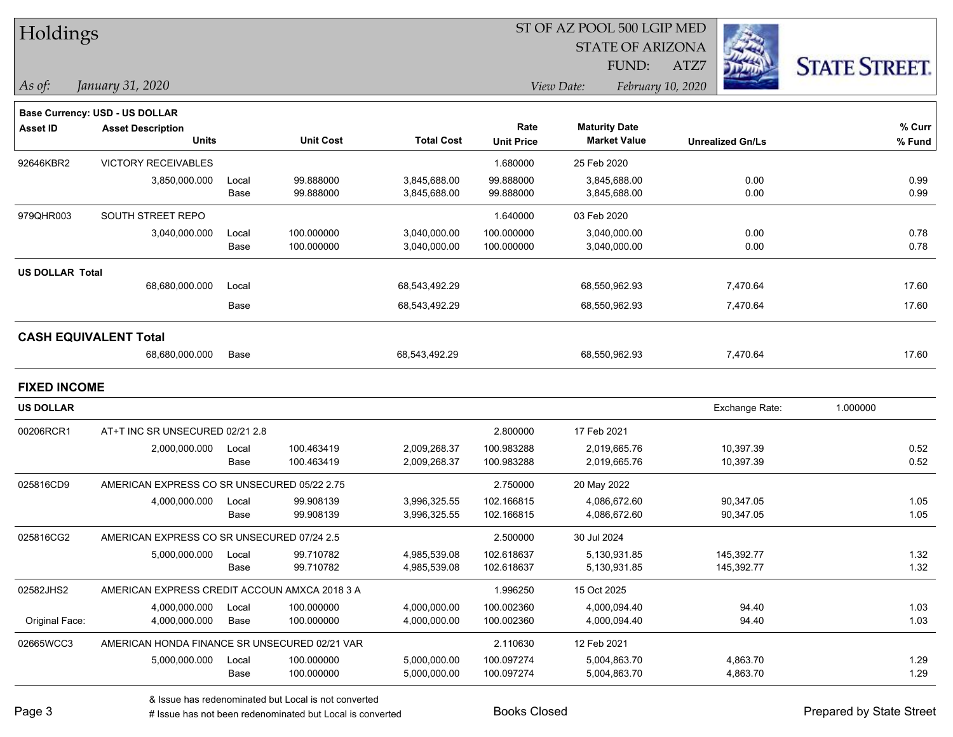| Holdings               |                                               |       |                  |                   |                           | ST OF AZ POOL 500 LGIP MED<br><b>STATE OF ARIZONA</b> |                           |                      |
|------------------------|-----------------------------------------------|-------|------------------|-------------------|---------------------------|-------------------------------------------------------|---------------------------|----------------------|
| As of:                 | January 31, 2020                              |       |                  |                   |                           | FUND:<br>View Date:                                   | ATZ7<br>February 10, 2020 | <b>STATE STREET.</b> |
|                        | Base Currency: USD - US DOLLAR                |       |                  |                   |                           |                                                       |                           |                      |
| <b>Asset ID</b>        | <b>Asset Description</b><br><b>Units</b>      |       | <b>Unit Cost</b> | <b>Total Cost</b> | Rate<br><b>Unit Price</b> | <b>Maturity Date</b><br><b>Market Value</b>           | <b>Unrealized Gn/Ls</b>   | $%$ Curr<br>% Fund   |
| 92646KBR2              | <b>VICTORY RECEIVABLES</b>                    |       |                  |                   | 1.680000                  | 25 Feb 2020                                           |                           |                      |
|                        | 3,850,000.000                                 | Local | 99.888000        | 3,845,688.00      | 99.888000                 | 3,845,688.00                                          | 0.00                      | 0.99                 |
|                        |                                               | Base  | 99.888000        | 3,845,688.00      | 99.888000                 | 3,845,688.00                                          | 0.00                      | 0.99                 |
| 979QHR003              | SOUTH STREET REPO                             |       |                  |                   | 1.640000                  | 03 Feb 2020                                           |                           |                      |
|                        | 3,040,000.000                                 | Local | 100.000000       | 3,040,000.00      | 100.000000                | 3,040,000.00                                          | 0.00                      | 0.78                 |
|                        |                                               | Base  | 100.000000       | 3,040,000.00      | 100.000000                | 3,040,000.00                                          | 0.00                      | 0.78                 |
| <b>US DOLLAR Total</b> |                                               |       |                  |                   |                           |                                                       |                           |                      |
|                        | 68,680,000.000                                | Local |                  | 68,543,492.29     |                           | 68,550,962.93                                         | 7,470.64                  | 17.60                |
|                        |                                               | Base  |                  | 68,543,492.29     |                           | 68,550,962.93                                         | 7,470.64                  | 17.60                |
|                        | <b>CASH EQUIVALENT Total</b>                  |       |                  |                   |                           |                                                       |                           |                      |
|                        | 68,680,000.000                                | Base  |                  | 68,543,492.29     |                           | 68,550,962.93                                         | 7,470.64                  | 17.60                |
| <b>FIXED INCOME</b>    |                                               |       |                  |                   |                           |                                                       |                           |                      |
| US DOLLAR              |                                               |       |                  |                   |                           |                                                       | Exchange Rate:            | 1.000000             |
| 00206RCR1              | AT+T INC SR UNSECURED 02/21 2.8               |       |                  |                   | 2.800000                  | 17 Feb 2021                                           |                           |                      |
|                        | 2,000,000.000                                 | Local | 100.463419       | 2,009,268.37      | 100.983288                | 2,019,665.76                                          | 10,397.39                 | 0.52                 |
|                        |                                               | Base  | 100.463419       | 2,009,268.37      | 100.983288                | 2,019,665.76                                          | 10,397.39                 | 0.52                 |
| 025816CD9              | AMERICAN EXPRESS CO SR UNSECURED 05/22 2.75   |       |                  |                   | 2.750000                  | 20 May 2022                                           |                           |                      |
|                        | 4,000,000.000                                 | Local | 99.908139        | 3,996,325.55      | 102.166815                | 4,086,672.60                                          | 90,347.05                 | 1.05                 |
|                        |                                               | Base  | 99.908139        | 3,996,325.55      | 102.166815                | 4,086,672.60                                          | 90,347.05                 | 1.05                 |
| 025816CG2              | AMERICAN EXPRESS CO SR UNSECURED 07/24 2.5    |       |                  |                   | 2.500000                  | 30 Jul 2024                                           |                           |                      |
|                        | 5,000,000.000                                 | Local | 99.710782        | 4,985,539.08      | 102.618637                | 5,130,931.85                                          | 145,392.77                | 1.32                 |
|                        |                                               | Base  | 99.710782        | 4,985,539.08      | 102.618637                | 5,130,931.85                                          | 145,392.77                | 1.32                 |
| 02582JHS2              | AMERICAN EXPRESS CREDIT ACCOUN AMXCA 2018 3 A |       |                  |                   | 1.996250                  | 15 Oct 2025                                           |                           |                      |
|                        | 4,000,000.000                                 | Local | 100.000000       | 4,000,000.00      | 100.002360                | 4,000,094.40                                          | 94.40                     | 1.03                 |
| Original Face:         | 4,000,000.000                                 | Base  | 100.000000       | 4,000,000.00      | 100.002360                | 4,000,094.40                                          | 94.40                     | 1.03                 |
| 02665WCC3              | AMERICAN HONDA FINANCE SR UNSECURED 02/21 VAR |       |                  |                   | 2.110630                  | 12 Feb 2021                                           |                           |                      |
|                        | 5,000,000.000                                 | Local | 100.000000       | 5,000,000.00      | 100.097274                | 5,004,863.70                                          | 4,863.70                  | 1.29                 |

 $\overline{\phantom{a}}$ 

Base 100.000000 5,000,000.00 100.097274 5,004,863.70 4,863.70 1.29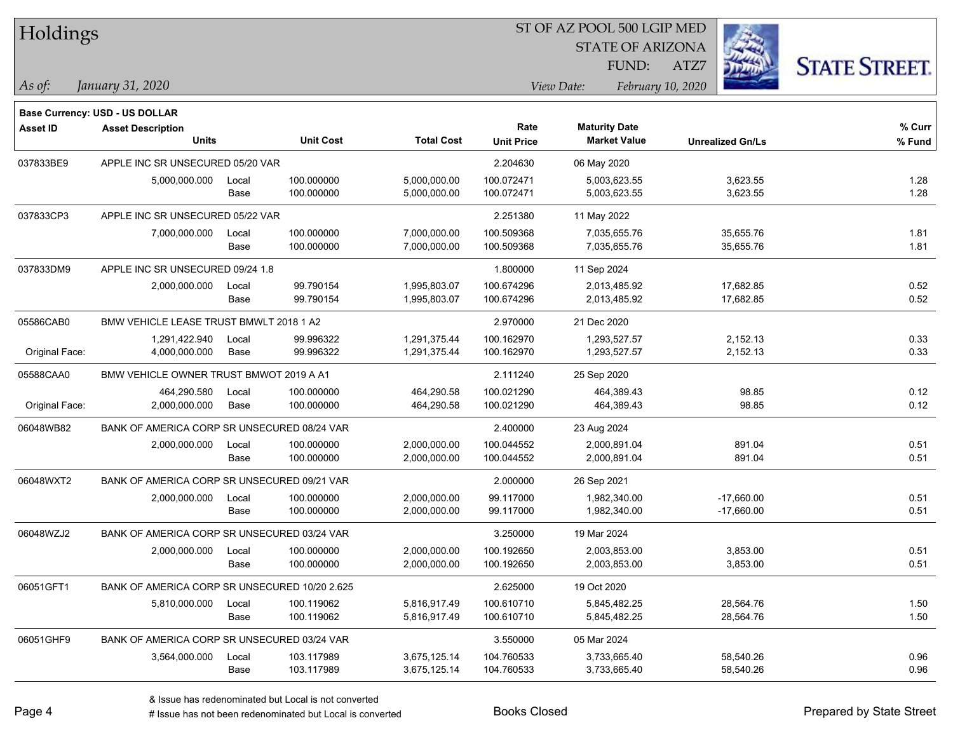| Holdings |
|----------|
|----------|

STATE OF ARIZONA

ATZ7



**Base Currency: USD - US DOLLAR**

| <b>Asset ID</b> | <b>Asset Description</b><br><b>Units</b>      |               | <b>Unit Cost</b>         | <b>Total Cost</b>            | Rate<br><b>Unit Price</b> | <b>Maturity Date</b><br><b>Market Value</b> | <b>Unrealized Gn/Ls</b>      | % Curr<br>% Fund |
|-----------------|-----------------------------------------------|---------------|--------------------------|------------------------------|---------------------------|---------------------------------------------|------------------------------|------------------|
| 037833BE9       | APPLE INC SR UNSECURED 05/20 VAR              |               |                          |                              | 2.204630                  | 06 May 2020                                 |                              |                  |
|                 | 5,000,000.000                                 | Local<br>Base | 100.000000<br>100.000000 | 5,000,000.00<br>5,000,000.00 | 100.072471<br>100.072471  | 5,003,623.55<br>5,003,623.55                | 3,623.55<br>3,623.55         | 1.28<br>1.28     |
| 037833CP3       | APPLE INC SR UNSECURED 05/22 VAR              |               |                          |                              | 2.251380                  | 11 May 2022                                 |                              |                  |
|                 | 7,000,000.000                                 | Local<br>Base | 100.000000<br>100.000000 | 7,000,000.00<br>7,000,000.00 | 100.509368<br>100.509368  | 7,035,655.76<br>7,035,655.76                | 35,655.76<br>35,655.76       | 1.81<br>1.81     |
| 037833DM9       | APPLE INC SR UNSECURED 09/24 1.8              |               |                          |                              | 1.800000                  | 11 Sep 2024                                 |                              |                  |
|                 | 2,000,000.000                                 | Local<br>Base | 99.790154<br>99.790154   | 1,995,803.07<br>1,995,803.07 | 100.674296<br>100.674296  | 2,013,485.92<br>2,013,485.92                | 17,682.85<br>17,682.85       | 0.52<br>0.52     |
| 05586CAB0       | BMW VEHICLE LEASE TRUST BMWLT 2018 1 A2       |               |                          |                              | 2.970000                  | 21 Dec 2020                                 |                              |                  |
| Original Face:  | 1,291,422.940<br>4,000,000.000                | Local<br>Base | 99.996322<br>99.996322   | 1,291,375.44<br>1,291,375.44 | 100.162970<br>100.162970  | 1,293,527.57<br>1,293,527.57                | 2,152.13<br>2,152.13         | 0.33<br>0.33     |
| 05588CAA0       | BMW VEHICLE OWNER TRUST BMWOT 2019 A A1       |               |                          |                              | 2.111240                  | 25 Sep 2020                                 |                              |                  |
| Original Face:  | 464,290.580<br>2,000,000.000                  | Local<br>Base | 100.000000<br>100.000000 | 464,290.58<br>464,290.58     | 100.021290<br>100.021290  | 464,389.43<br>464,389.43                    | 98.85<br>98.85               | 0.12<br>0.12     |
| 06048WB82       | BANK OF AMERICA CORP SR UNSECURED 08/24 VAR   |               |                          |                              | 2.400000                  | 23 Aug 2024                                 |                              |                  |
|                 | 2,000,000.000                                 | Local<br>Base | 100.000000<br>100.000000 | 2,000,000.00<br>2,000,000.00 | 100.044552<br>100.044552  | 2,000,891.04<br>2,000,891.04                | 891.04<br>891.04             | 0.51<br>0.51     |
| 06048WXT2       | BANK OF AMERICA CORP SR UNSECURED 09/21 VAR   |               |                          |                              | 2.000000                  | 26 Sep 2021                                 |                              |                  |
|                 | 2,000,000.000                                 | Local<br>Base | 100.000000<br>100.000000 | 2,000,000.00<br>2,000,000.00 | 99.117000<br>99.117000    | 1,982,340.00<br>1,982,340.00                | $-17,660.00$<br>$-17,660.00$ | 0.51<br>0.51     |
| 06048WZJ2       | BANK OF AMERICA CORP SR UNSECURED 03/24 VAR   |               |                          |                              | 3.250000                  | 19 Mar 2024                                 |                              |                  |
|                 | 2,000,000.000                                 | Local<br>Base | 100.000000<br>100.000000 | 2,000,000.00<br>2,000,000.00 | 100.192650<br>100.192650  | 2,003,853.00<br>2,003,853.00                | 3,853.00<br>3,853.00         | 0.51<br>0.51     |
| 06051GFT1       | BANK OF AMERICA CORP SR UNSECURED 10/20 2.625 |               |                          |                              | 2.625000                  | 19 Oct 2020                                 |                              |                  |
|                 | 5,810,000.000                                 | Local<br>Base | 100.119062<br>100.119062 | 5,816,917.49<br>5,816,917.49 | 100.610710<br>100.610710  | 5,845,482.25<br>5,845,482.25                | 28,564.76<br>28,564.76       | 1.50<br>1.50     |
| 06051GHF9       | BANK OF AMERICA CORP SR UNSECURED 03/24 VAR   |               |                          |                              | 3.550000                  | 05 Mar 2024                                 |                              |                  |
|                 | 3,564,000.000                                 | Local<br>Base | 103.117989<br>103.117989 | 3,675,125.14<br>3,675,125.14 | 104.760533<br>104.760533  | 3,733,665.40<br>3,733,665.40                | 58,540.26<br>58,540.26       | 0.96<br>0.96     |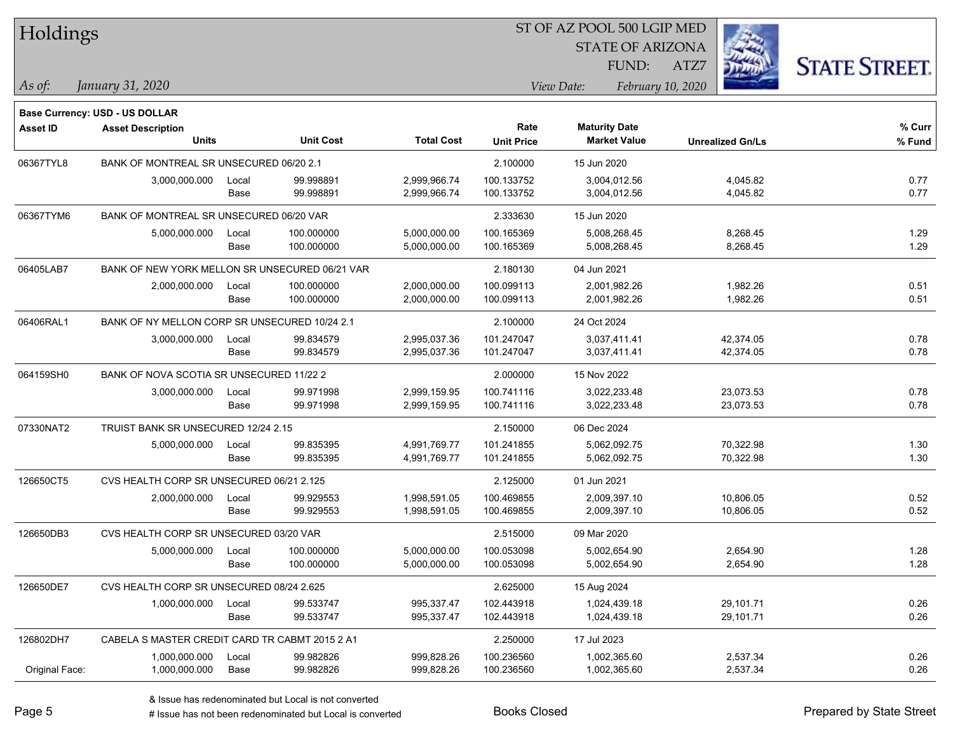| Holdings        |                                                |       |                  |                   | ST OF AZ POOL 500 LGIP MED |                                             |                         |                      |
|-----------------|------------------------------------------------|-------|------------------|-------------------|----------------------------|---------------------------------------------|-------------------------|----------------------|
|                 |                                                |       |                  |                   |                            | <b>STATE OF ARIZONA</b>                     |                         |                      |
|                 |                                                |       |                  |                   |                            | FUND:                                       | ATZ7                    | <b>STATE STREET.</b> |
| $\vert$ As of:  | January 31, 2020                               |       |                  |                   |                            | View Date:                                  | February 10, 2020       |                      |
|                 |                                                |       |                  |                   |                            |                                             |                         |                      |
|                 | <b>Base Currency: USD - US DOLLAR</b>          |       |                  |                   |                            |                                             |                         |                      |
| <b>Asset ID</b> | <b>Asset Description</b><br><b>Units</b>       |       | <b>Unit Cost</b> | <b>Total Cost</b> | Rate<br><b>Unit Price</b>  | <b>Maturity Date</b><br><b>Market Value</b> | <b>Unrealized Gn/Ls</b> | % Curr<br>$%$ Fund   |
| 06367TYL8       | BANK OF MONTREAL SR UNSECURED 06/20 2.1        |       |                  |                   | 2.100000                   | 15 Jun 2020                                 |                         |                      |
|                 | 3,000,000.000                                  | Local | 99.998891        | 2,999,966.74      | 100.133752                 | 3,004,012.56                                | 4,045.82                | 0.77                 |
|                 |                                                | Base  | 99.998891        | 2,999,966.74      | 100.133752                 | 3,004,012.56                                | 4,045.82                | 0.77                 |
| 06367TYM6       | BANK OF MONTREAL SR UNSECURED 06/20 VAR        |       |                  |                   | 2.333630                   | 15 Jun 2020                                 |                         |                      |
|                 | 5,000,000.000                                  | Local | 100.000000       | 5,000,000.00      | 100.165369                 | 5,008,268.45                                | 8,268.45                | 1.29                 |
|                 |                                                | Base  | 100.000000       | 5,000,000.00      | 100.165369                 | 5,008,268.45                                | 8,268.45                | 1.29                 |
| 06405LAB7       | BANK OF NEW YORK MELLON SR UNSECURED 06/21 VAR |       |                  |                   | 2.180130                   | 04 Jun 2021                                 |                         |                      |
|                 | 2,000,000.000                                  | Local | 100.000000       | 2,000,000.00      | 100.099113                 | 2,001,982.26                                | 1,982.26                | 0.51                 |
|                 |                                                | Base  | 100.000000       | 2,000,000.00      | 100.099113                 | 2,001,982.26                                | 1,982.26                | 0.51                 |
| 06406RAL1       | BANK OF NY MELLON CORP SR UNSECURED 10/24 2.1  |       |                  |                   | 2.100000                   | 24 Oct 2024                                 |                         |                      |
|                 | 3,000,000.000                                  | Local | 99.834579        | 2,995,037.36      | 101.247047                 | 3,037,411.41                                | 42,374.05               | 0.78                 |
|                 |                                                | Base  | 99.834579        | 2,995,037.36      | 101.247047                 | 3,037,411.41                                | 42,374.05               | 0.78                 |
| 064159SH0       | BANK OF NOVA SCOTIA SR UNSECURED 11/22 2       |       |                  |                   | 2.000000                   | 15 Nov 2022                                 |                         |                      |
|                 | 3,000,000.000                                  | Local | 99.971998        | 2,999,159.95      | 100.741116                 | 3,022,233.48                                | 23,073.53               | 0.78                 |
|                 |                                                | Base  | 99.971998        | 2,999,159.95      | 100.741116                 | 3,022,233.48                                | 23,073.53               | 0.78                 |
| 07330NAT2       | TRUIST BANK SR UNSECURED 12/24 2.15            |       |                  |                   | 2.150000                   | 06 Dec 2024                                 |                         |                      |
|                 | 5,000,000.000                                  | Local | 99.835395        | 4,991,769.77      | 101.241855                 | 5,062,092.75                                | 70,322.98               | 1.30                 |
|                 |                                                | Base  | 99.835395        | 4,991,769.77      | 101.241855                 | 5,062,092.75                                | 70,322.98               | 1.30                 |
| 126650CT5       | CVS HEALTH CORP SR UNSECURED 06/21 2.125       |       |                  |                   | 2.125000                   | 01 Jun 2021                                 |                         |                      |
|                 | 2,000,000.000                                  | Local | 99.929553        | 1,998,591.05      | 100.469855                 | 2,009,397.10                                | 10,806.05               | 0.52                 |
|                 |                                                | Base  | 99.929553        | 1,998,591.05      | 100.469855                 | 2,009,397.10                                | 10,806.05               | 0.52                 |
| 126650DB3       | CVS HEALTH CORP SR UNSECURED 03/20 VAR         |       |                  |                   | 2.515000                   | 09 Mar 2020                                 |                         |                      |
|                 | 5,000,000.000                                  | Local | 100.000000       | 5,000,000.00      | 100.053098                 | 5,002,654.90                                | 2,654.90                | 1.28                 |
|                 |                                                | Base  | 100.000000       | 5,000,000.00      | 100.053098                 | 5,002,654.90                                | 2,654.90                | 1.28                 |
| 126650DE7       | CVS HEALTH CORP SR UNSECURED 08/24 2.625       |       |                  |                   | 2.625000                   | 15 Aug 2024                                 |                         |                      |
|                 | 1,000,000.000                                  | Local | 99.533747        | 995,337.47        | 102.443918                 | 1,024,439.18                                | 29,101.71               | 0.26                 |
|                 |                                                | Base  | 99.533747        | 995,337.47        | 102.443918                 | 1,024,439.18                                | 29,101.71               | 0.26                 |
| 126802DH7       | CABELA S MASTER CREDIT CARD TR CABMT 2015 2 A1 |       |                  |                   | 2.250000                   | 17 Jul 2023                                 |                         |                      |
|                 | 1,000,000.000                                  | Local | 99.982826        | 999,828.26        | 100.236560                 | 1,002,365.60                                | 2,537.34                | 0.26                 |
| Original Face:  | 1,000,000.000                                  | Base  | 99.982826        | 999,828.26        | 100.236560                 | 1,002,365.60                                | 2,537.34                | 0.26                 |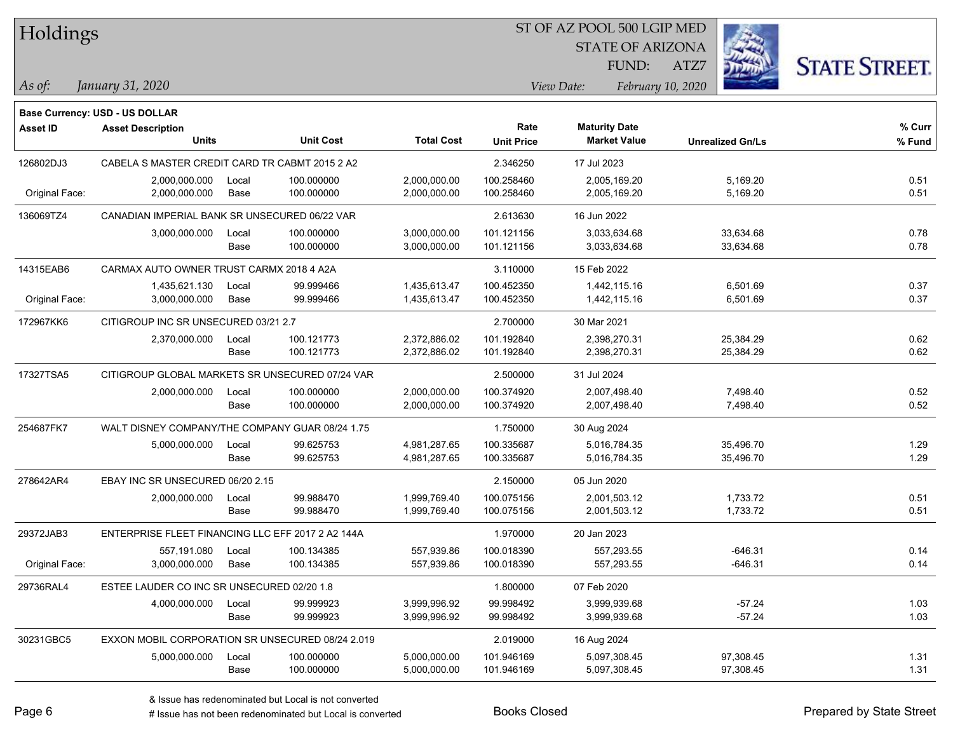| Holdings        |                                                   |       |                  |                   | ST OF AZ POOL 500 LGIP MED |             |                         |      |                         |                      |
|-----------------|---------------------------------------------------|-------|------------------|-------------------|----------------------------|-------------|-------------------------|------|-------------------------|----------------------|
|                 |                                                   |       |                  |                   |                            |             | <b>STATE OF ARIZONA</b> |      |                         |                      |
|                 |                                                   |       |                  |                   |                            |             | FUND:                   | ATZ7 |                         | <b>STATE STREET.</b> |
| As of:          | January 31, 2020                                  |       |                  |                   |                            | View Date:  | February 10, 2020       |      |                         |                      |
|                 | Base Currency: USD - US DOLLAR                    |       |                  |                   |                            |             |                         |      |                         |                      |
| <b>Asset ID</b> | <b>Asset Description</b>                          |       |                  |                   | Rate                       |             | <b>Maturity Date</b>    |      |                         | % Curr               |
|                 | Units                                             |       | <b>Unit Cost</b> | <b>Total Cost</b> | <b>Unit Price</b>          |             | <b>Market Value</b>     |      | <b>Unrealized Gn/Ls</b> | % Fund               |
| 126802DJ3       | CABELA S MASTER CREDIT CARD TR CABMT 2015 2 A2    |       |                  |                   | 2.346250                   | 17 Jul 2023 |                         |      |                         |                      |
|                 | 2,000,000.000                                     | Local | 100.000000       | 2,000,000.00      | 100.258460                 |             | 2,005,169.20            |      | 5,169.20                | 0.51                 |
| Original Face:  | 2,000,000.000                                     | Base  | 100.000000       | 2,000,000.00      | 100.258460                 |             | 2,005,169.20            |      | 5,169.20                | 0.51                 |
| 136069TZ4       | CANADIAN IMPERIAL BANK SR UNSECURED 06/22 VAR     |       |                  |                   | 2.613630                   |             | 16 Jun 2022             |      |                         |                      |
|                 | 3,000,000.000                                     | Local | 100.000000       | 3,000,000.00      | 101.121156                 |             | 3,033,634.68            |      | 33,634.68               | 0.78                 |
|                 |                                                   | Base  | 100.000000       | 3,000,000.00      | 101.121156                 |             | 3,033,634.68            |      | 33,634.68               | 0.78                 |
| 14315EAB6       | CARMAX AUTO OWNER TRUST CARMX 2018 4 A2A          |       |                  |                   | 3.110000                   |             | 15 Feb 2022             |      |                         |                      |
|                 | 1,435,621.130                                     | Local | 99.999466        | 1,435,613.47      | 100.452350                 |             | 1,442,115.16            |      | 6,501.69                | 0.37                 |
| Original Face:  | 3,000,000.000                                     | Base  | 99.999466        | 1,435,613.47      | 100.452350                 |             | 1,442,115.16            |      | 6,501.69                | 0.37                 |
| 172967KK6       | CITIGROUP INC SR UNSECURED 03/21 2.7              |       |                  |                   | 2.700000                   |             | 30 Mar 2021             |      |                         |                      |
|                 | 2,370,000.000                                     | Local | 100.121773       | 2,372,886.02      | 101.192840                 |             | 2,398,270.31            |      | 25,384.29               | 0.62                 |
|                 |                                                   | Base  | 100.121773       | 2,372,886.02      | 101.192840                 |             | 2,398,270.31            |      | 25,384.29               | 0.62                 |
| 17327TSA5       | CITIGROUP GLOBAL MARKETS SR UNSECURED 07/24 VAR   |       |                  |                   | 2.500000                   | 31 Jul 2024 |                         |      |                         |                      |
|                 | 2,000,000.000                                     | Local | 100.000000       | 2,000,000.00      | 100.374920                 |             | 2,007,498.40            |      | 7,498.40                | 0.52                 |
|                 |                                                   | Base  | 100.000000       | 2,000,000.00      | 100.374920                 |             | 2,007,498.40            |      | 7,498.40                | 0.52                 |
| 254687FK7       | WALT DISNEY COMPANY/THE COMPANY GUAR 08/24 1.75   |       |                  |                   | 1.750000                   |             | 30 Aug 2024             |      |                         |                      |
|                 | 5,000,000.000                                     | Local | 99.625753        | 4,981,287.65      | 100.335687                 |             | 5,016,784.35            |      | 35,496.70               | 1.29                 |
|                 |                                                   | Base  | 99.625753        | 4,981,287.65      | 100.335687                 |             | 5,016,784.35            |      | 35,496.70               | 1.29                 |
| 278642AR4       | EBAY INC SR UNSECURED 06/20 2.15                  |       |                  |                   | 2.150000                   |             | 05 Jun 2020             |      |                         |                      |
|                 | 2,000,000.000                                     | Local | 99.988470        | 1,999,769.40      | 100.075156                 |             | 2,001,503.12            |      | 1,733.72                | 0.51                 |
|                 |                                                   | Base  | 99.988470        | 1,999,769.40      | 100.075156                 |             | 2,001,503.12            |      | 1,733.72                | 0.51                 |
| 29372JAB3       | ENTERPRISE FLEET FINANCING LLC EFF 2017 2 A2 144A |       |                  |                   | 1.970000                   | 20 Jan 2023 |                         |      |                         |                      |
|                 | 557,191.080                                       | Local | 100.134385       | 557,939.86        | 100.018390                 |             | 557,293.55              |      | -646.31                 | 0.14                 |
| Original Face:  | 3,000,000.000                                     | Base  | 100.134385       | 557,939.86        | 100.018390                 |             | 557,293.55              |      | $-646.31$               | 0.14                 |
| 29736RAL4       | ESTEE LAUDER CO INC SR UNSECURED 02/20 1.8        |       |                  |                   | 1.800000                   |             | 07 Feb 2020             |      |                         |                      |
|                 | 4,000,000.000                                     | Local | 99.999923        | 3,999,996.92      | 99.998492                  |             | 3,999,939.68            |      | $-57.24$                | 1.03                 |
|                 |                                                   | Base  | 99.999923        | 3,999,996.92      | 99.998492                  |             | 3,999,939.68            |      | $-57.24$                | 1.03                 |
| 30231GBC5       | EXXON MOBIL CORPORATION SR UNSECURED 08/24 2.019  |       |                  |                   | 2.019000                   |             | 16 Aug 2024             |      |                         |                      |
|                 | 5,000,000.000                                     | Local | 100.000000       | 5,000,000.00      | 101.946169                 |             | 5,097,308.45            |      | 97,308.45               | 1.31                 |
|                 |                                                   | Base  | 100.000000       | 5,000,000.00      | 101.946169                 |             | 5,097,308.45            |      | 97,308.45               | 1.31                 |

 $\overline{\phantom{0}}$ 

 $\overline{\phantom{0}}$ 

 $\overline{\phantom{0}}$ 

 $\overline{\phantom{a}}$ 

 $\overline{\phantom{0}}$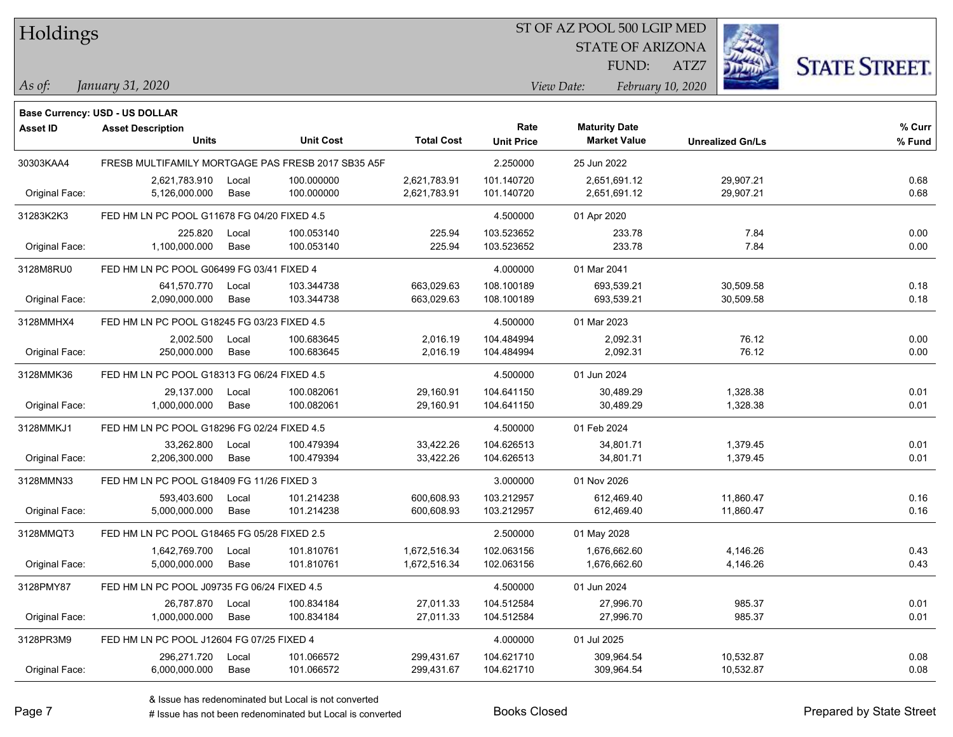| Holdings |
|----------|
|          |

#### ST OF AZ POOL 500 LGIP MED

STATE OF ARIZONA

ATZ7



**Base Currency: USD - US DOLLAR**

| <b>Asset ID</b> | <b>Asset Description</b>                    |       |                                                    |                   | Rate              | <b>Maturity Date</b> |                         | % Curr |
|-----------------|---------------------------------------------|-------|----------------------------------------------------|-------------------|-------------------|----------------------|-------------------------|--------|
|                 | <b>Units</b>                                |       | <b>Unit Cost</b>                                   | <b>Total Cost</b> | <b>Unit Price</b> | <b>Market Value</b>  | <b>Unrealized Gn/Ls</b> | % Fund |
| 30303KAA4       |                                             |       | FRESB MULTIFAMILY MORTGAGE PAS FRESB 2017 SB35 A5F |                   | 2.250000          | 25 Jun 2022          |                         |        |
|                 | 2,621,783.910                               | Local | 100.000000                                         | 2,621,783.91      | 101.140720        | 2,651,691.12         | 29,907.21               | 0.68   |
| Original Face:  | 5,126,000.000                               | Base  | 100.000000                                         | 2,621,783.91      | 101.140720        | 2,651,691.12         | 29,907.21               | 0.68   |
| 31283K2K3       | FED HM LN PC POOL G11678 FG 04/20 FIXED 4.5 |       |                                                    |                   | 4.500000          | 01 Apr 2020          |                         |        |
|                 | 225.820                                     | Local | 100.053140                                         | 225.94            | 103.523652        | 233.78               | 7.84                    | 0.00   |
| Original Face:  | 1,100,000.000                               | Base  | 100.053140                                         | 225.94            | 103.523652        | 233.78               | 7.84                    | 0.00   |
| 3128M8RU0       | FED HM LN PC POOL G06499 FG 03/41 FIXED 4   |       |                                                    |                   | 4.000000          | 01 Mar 2041          |                         |        |
|                 | 641,570.770                                 | Local | 103.344738                                         | 663,029.63        | 108.100189        | 693,539.21           | 30,509.58               | 0.18   |
| Original Face:  | 2,090,000.000                               | Base  | 103.344738                                         | 663,029.63        | 108.100189        | 693,539.21           | 30,509.58               | 0.18   |
| 3128MMHX4       | FED HM LN PC POOL G18245 FG 03/23 FIXED 4.5 |       |                                                    |                   | 4.500000          | 01 Mar 2023          |                         |        |
|                 | 2,002.500                                   | Local | 100.683645                                         | 2,016.19          | 104.484994        | 2,092.31             | 76.12                   | 0.00   |
| Original Face:  | 250,000.000                                 | Base  | 100.683645                                         | 2,016.19          | 104.484994        | 2,092.31             | 76.12                   | 0.00   |
| 3128MMK36       | FED HM LN PC POOL G18313 FG 06/24 FIXED 4.5 |       |                                                    |                   | 4.500000          | 01 Jun 2024          |                         |        |
|                 | 29,137.000                                  | Local | 100.082061                                         | 29,160.91         | 104.641150        | 30,489.29            | 1,328.38                | 0.01   |
| Original Face:  | 1,000,000.000                               | Base  | 100.082061                                         | 29,160.91         | 104.641150        | 30,489.29            | 1,328.38                | 0.01   |
| 3128MMKJ1       | FED HM LN PC POOL G18296 FG 02/24 FIXED 4.5 |       |                                                    |                   | 4.500000          | 01 Feb 2024          |                         |        |
|                 | 33,262.800                                  | Local | 100.479394                                         | 33,422.26         | 104.626513        | 34,801.71            | 1,379.45                | 0.01   |
| Original Face:  | 2,206,300.000                               | Base  | 100.479394                                         | 33,422.26         | 104.626513        | 34,801.71            | 1,379.45                | 0.01   |
| 3128MMN33       | FED HM LN PC POOL G18409 FG 11/26 FIXED 3   |       |                                                    |                   | 3.000000          | 01 Nov 2026          |                         |        |
|                 | 593,403.600                                 | Local | 101.214238                                         | 600,608.93        | 103.212957        | 612,469.40           | 11,860.47               | 0.16   |
| Original Face:  | 5,000,000.000                               | Base  | 101.214238                                         | 600,608.93        | 103.212957        | 612,469.40           | 11,860.47               | 0.16   |
| 3128MMQT3       | FED HM LN PC POOL G18465 FG 05/28 FIXED 2.5 |       |                                                    |                   | 2.500000          | 01 May 2028          |                         |        |
|                 | 1,642,769.700                               | Local | 101.810761                                         | 1,672,516.34      | 102.063156        | 1,676,662.60         | 4,146.26                | 0.43   |
| Original Face:  | 5,000,000.000                               | Base  | 101.810761                                         | 1,672,516.34      | 102.063156        | 1,676,662.60         | 4,146.26                | 0.43   |
| 3128PMY87       | FED HM LN PC POOL J09735 FG 06/24 FIXED 4.5 |       |                                                    |                   | 4.500000          | 01 Jun 2024          |                         |        |
|                 | 26,787.870                                  | Local | 100.834184                                         | 27,011.33         | 104.512584        | 27,996.70            | 985.37                  | 0.01   |
| Original Face:  | 1,000,000.000                               | Base  | 100.834184                                         | 27,011.33         | 104.512584        | 27,996.70            | 985.37                  | 0.01   |
| 3128PR3M9       | FED HM LN PC POOL J12604 FG 07/25 FIXED 4   |       |                                                    |                   | 4.000000          | 01 Jul 2025          |                         |        |
|                 | 296,271.720                                 | Local | 101.066572                                         | 299,431.67        | 104.621710        | 309,964.54           | 10,532.87               | 0.08   |
| Original Face:  | 6,000,000.000                               | Base  | 101.066572                                         | 299,431.67        | 104.621710        | 309,964.54           | 10,532.87               | 0.08   |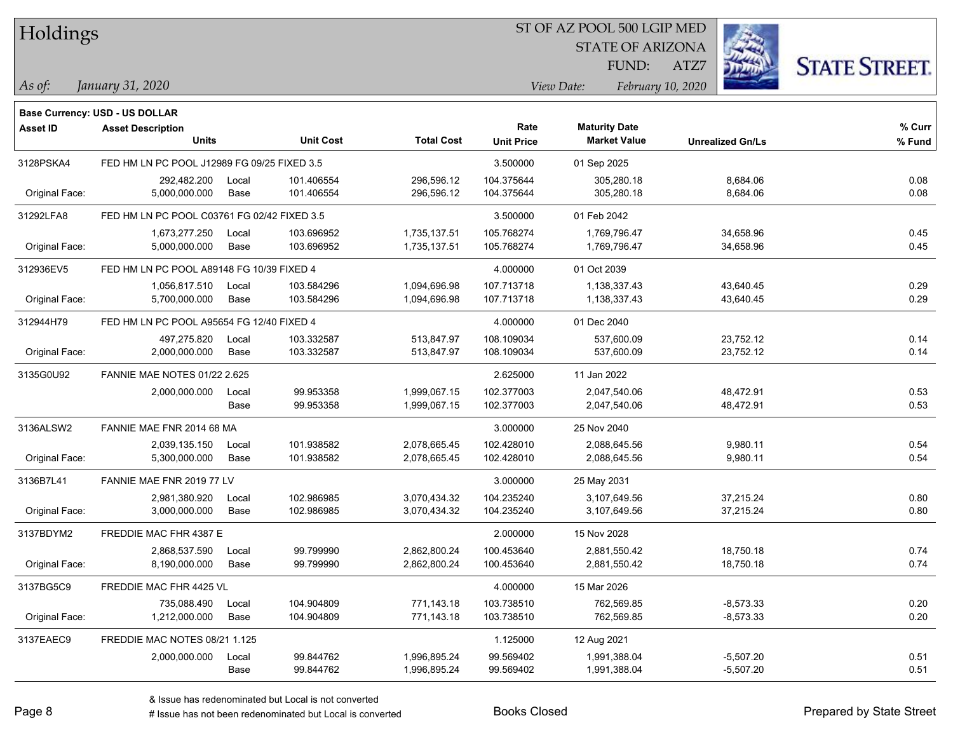| Holdings |
|----------|
|          |

STATE OF ARIZONA

ATZ7



**Base Currency: USD - US DOLLAR**

| Asset ID       | <b>Asset Description</b><br><b>Units</b>    |       | <b>Unit Cost</b> | <b>Total Cost</b> | Rate<br><b>Unit Price</b> | <b>Maturity Date</b><br><b>Market Value</b> | <b>Unrealized Gn/Ls</b> | % Curr<br>% Fund |
|----------------|---------------------------------------------|-------|------------------|-------------------|---------------------------|---------------------------------------------|-------------------------|------------------|
| 3128PSKA4      | FED HM LN PC POOL J12989 FG 09/25 FIXED 3.5 |       |                  |                   | 3.500000                  | 01 Sep 2025                                 |                         |                  |
|                | 292,482.200                                 | Local | 101.406554       | 296,596.12        | 104.375644                | 305,280.18                                  | 8,684.06                | 0.08             |
| Original Face: | 5,000,000.000                               | Base  | 101.406554       | 296,596.12        | 104.375644                | 305,280.18                                  | 8,684.06                | 0.08             |
| 31292LFA8      | FED HM LN PC POOL C03761 FG 02/42 FIXED 3.5 |       |                  |                   | 3.500000                  | 01 Feb 2042                                 |                         |                  |
|                | 1,673,277.250                               | Local | 103.696952       | 1,735,137.51      | 105.768274                | 1,769,796.47                                | 34,658.96               | 0.45             |
| Original Face: | 5,000,000.000                               | Base  | 103.696952       | 1,735,137.51      | 105.768274                | 1,769,796.47                                | 34,658.96               | 0.45             |
| 312936EV5      | FED HM LN PC POOL A89148 FG 10/39 FIXED 4   |       |                  |                   | 4.000000                  | 01 Oct 2039                                 |                         |                  |
|                | 1,056,817.510                               | Local | 103.584296       | 1,094,696.98      | 107.713718                | 1,138,337.43                                | 43,640.45               | 0.29             |
| Original Face: | 5,700,000.000                               | Base  | 103.584296       | 1,094,696.98      | 107.713718                | 1,138,337.43                                | 43,640.45               | 0.29             |
| 312944H79      | FED HM LN PC POOL A95654 FG 12/40 FIXED 4   |       |                  |                   | 4.000000                  | 01 Dec 2040                                 |                         |                  |
|                | 497,275.820                                 | Local | 103.332587       | 513,847.97        | 108.109034                | 537,600.09                                  | 23,752.12               | 0.14             |
| Original Face: | 2,000,000.000                               | Base  | 103.332587       | 513,847.97        | 108.109034                | 537,600.09                                  | 23,752.12               | 0.14             |
| 3135G0U92      | <b>FANNIE MAE NOTES 01/22 2.625</b>         |       |                  |                   | 2.625000                  | 11 Jan 2022                                 |                         |                  |
|                | 2,000,000.000                               | Local | 99.953358        | 1,999,067.15      | 102.377003                | 2,047,540.06                                | 48,472.91               | 0.53             |
|                |                                             | Base  | 99.953358        | 1,999,067.15      | 102.377003                | 2,047,540.06                                | 48,472.91               | 0.53             |
| 3136ALSW2      | FANNIE MAE FNR 2014 68 MA                   |       |                  |                   | 3.000000                  | 25 Nov 2040                                 |                         |                  |
|                | 2,039,135.150                               | Local | 101.938582       | 2,078,665.45      | 102.428010                | 2,088,645.56                                | 9,980.11                | 0.54             |
| Original Face: | 5,300,000.000                               | Base  | 101.938582       | 2,078,665.45      | 102.428010                | 2,088,645.56                                | 9,980.11                | 0.54             |
| 3136B7L41      | FANNIE MAE FNR 2019 77 LV                   |       |                  |                   | 3.000000                  | 25 May 2031                                 |                         |                  |
|                | 2,981,380.920                               | Local | 102.986985       | 3,070,434.32      | 104.235240                | 3.107.649.56                                | 37,215.24               | 0.80             |
| Original Face: | 3,000,000.000                               | Base  | 102.986985       | 3.070,434.32      | 104.235240                | 3,107,649.56                                | 37,215.24               | 0.80             |
| 3137BDYM2      | FREDDIE MAC FHR 4387 E                      |       |                  |                   | 2.000000                  | 15 Nov 2028                                 |                         |                  |
|                | 2,868,537.590                               | Local | 99.799990        | 2,862,800.24      | 100.453640                | 2,881,550.42                                | 18,750.18               | 0.74             |
| Original Face: | 8,190,000.000                               | Base  | 99.799990        | 2,862,800.24      | 100.453640                | 2,881,550.42                                | 18,750.18               | 0.74             |
| 3137BG5C9      | FREDDIE MAC FHR 4425 VL                     |       |                  |                   | 4.000000                  | 15 Mar 2026                                 |                         |                  |
|                | 735,088.490                                 | Local | 104.904809       | 771,143.18        | 103.738510                | 762,569.85                                  | $-8,573.33$             | 0.20             |
| Original Face: | 1,212,000.000                               | Base  | 104.904809       | 771,143.18        | 103.738510                | 762,569.85                                  | $-8,573.33$             | 0.20             |
| 3137EAEC9      | FREDDIE MAC NOTES 08/21 1.125               |       |                  |                   | 1.125000                  | 12 Aug 2021                                 |                         |                  |
|                | 2,000,000.000                               | Local | 99.844762        | 1,996,895.24      | 99.569402                 | 1,991,388.04                                | $-5,507.20$             | 0.51             |
|                |                                             | Base  | 99.844762        | 1,996,895.24      | 99.569402                 | 1,991,388.04                                | $-5,507.20$             | 0.51             |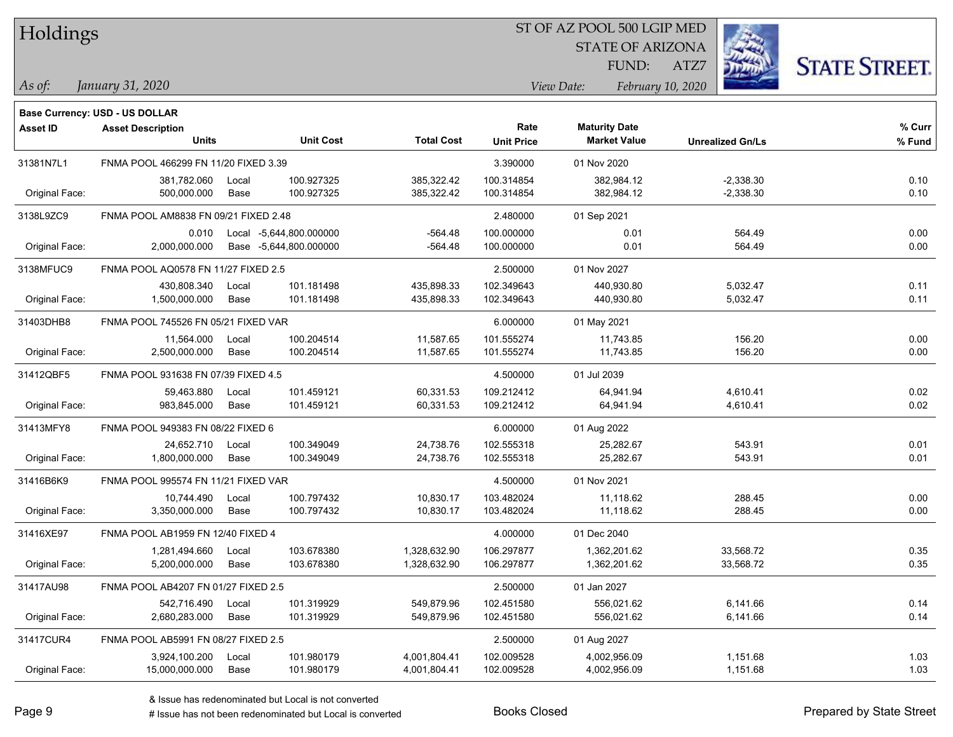| Holdings |
|----------|
|          |

STATE OF ARIZONA

ATZ7



*January 31, 2020 As of: View Date: February 10, 2020* FUND:

|                 | Base Currency: USD - US DOLLAR       |       |                         |                   |                   |                      |                         |        |
|-----------------|--------------------------------------|-------|-------------------------|-------------------|-------------------|----------------------|-------------------------|--------|
| <b>Asset ID</b> | <b>Asset Description</b>             |       |                         |                   | Rate              | <b>Maturity Date</b> |                         | % Curr |
|                 | <b>Units</b>                         |       | <b>Unit Cost</b>        | <b>Total Cost</b> | <b>Unit Price</b> | <b>Market Value</b>  | <b>Unrealized Gn/Ls</b> | % Fund |
| 31381N7L1       | FNMA POOL 466299 FN 11/20 FIXED 3.39 |       |                         |                   | 3.390000          | 01 Nov 2020          |                         |        |
|                 | 381,782.060                          | Local | 100.927325              | 385,322.42        | 100.314854        | 382,984.12           | $-2,338.30$             | 0.10   |
| Original Face:  | 500,000.000                          | Base  | 100.927325              | 385,322.42        | 100.314854        | 382,984.12           | $-2,338.30$             | 0.10   |
| 3138L9ZC9       | FNMA POOL AM8838 FN 09/21 FIXED 2.48 |       |                         |                   | 2.480000          | 01 Sep 2021          |                         |        |
|                 | 0.010                                |       | Local -5,644,800.000000 | $-564.48$         | 100.000000        | 0.01                 | 564.49                  | 0.00   |
| Original Face:  | 2,000,000.000                        |       | Base -5,644,800.000000  | $-564.48$         | 100.000000        | 0.01                 | 564.49                  | 0.00   |
| 3138MFUC9       | FNMA POOL AQ0578 FN 11/27 FIXED 2.5  |       |                         |                   | 2.500000          | 01 Nov 2027          |                         |        |
|                 | 430.808.340                          | Local | 101.181498              | 435.898.33        | 102.349643        | 440,930.80           | 5,032.47                | 0.11   |
| Original Face:  | 1,500,000.000                        | Base  | 101.181498              | 435,898.33        | 102.349643        | 440,930.80           | 5,032.47                | 0.11   |
| 31403DHB8       | FNMA POOL 745526 FN 05/21 FIXED VAR  |       |                         |                   | 6.000000          | 01 May 2021          |                         |        |
|                 | 11,564.000                           | Local | 100.204514              | 11,587.65         | 101.555274        | 11,743.85            | 156.20                  | 0.00   |
| Original Face:  | 2,500,000.000                        | Base  | 100.204514              | 11,587.65         | 101.555274        | 11,743.85            | 156.20                  | 0.00   |
| 31412QBF5       | FNMA POOL 931638 FN 07/39 FIXED 4.5  |       |                         |                   | 4.500000          | 01 Jul 2039          |                         |        |
|                 | 59,463.880                           | Local | 101.459121              | 60,331.53         | 109.212412        | 64,941.94            | 4,610.41                | 0.02   |
| Original Face:  | 983,845.000                          | Base  | 101.459121              | 60,331.53         | 109.212412        | 64,941.94            | 4,610.41                | 0.02   |
| 31413MFY8       | FNMA POOL 949383 FN 08/22 FIXED 6    |       |                         |                   | 6.000000          | 01 Aug 2022          |                         |        |
|                 | 24,652.710                           | Local | 100.349049              | 24,738.76         | 102.555318        | 25,282.67            | 543.91                  | 0.01   |
| Original Face:  | 1,800,000.000                        | Base  | 100.349049              | 24,738.76         | 102.555318        | 25,282.67            | 543.91                  | 0.01   |
| 31416B6K9       | FNMA POOL 995574 FN 11/21 FIXED VAR  |       |                         |                   | 4.500000          | 01 Nov 2021          |                         |        |
|                 | 10,744.490                           | Local | 100.797432              | 10,830.17         | 103.482024        | 11,118.62            | 288.45                  | 0.00   |
| Original Face:  | 3,350,000.000                        | Base  | 100.797432              | 10,830.17         | 103.482024        | 11,118.62            | 288.45                  | 0.00   |
| 31416XE97       | FNMA POOL AB1959 FN 12/40 FIXED 4    |       |                         |                   | 4.000000          | 01 Dec 2040          |                         |        |
|                 | 1,281,494.660                        | Local | 103.678380              | 1,328,632.90      | 106.297877        | 1,362,201.62         | 33,568.72               | 0.35   |
| Original Face:  | 5,200,000.000                        | Base  | 103.678380              | 1,328,632.90      | 106.297877        | 1,362,201.62         | 33,568.72               | 0.35   |
| 31417AU98       | FNMA POOL AB4207 FN 01/27 FIXED 2.5  |       |                         |                   | 2.500000          | 01 Jan 2027          |                         |        |
|                 | 542,716.490                          | Local | 101.319929              | 549,879.96        | 102.451580        | 556,021.62           | 6,141.66                | 0.14   |
| Original Face:  | 2,680,283.000                        | Base  | 101.319929              | 549,879.96        | 102.451580        | 556,021.62           | 6,141.66                | 0.14   |
| 31417CUR4       | FNMA POOL AB5991 FN 08/27 FIXED 2.5  |       |                         |                   | 2.500000          | 01 Aug 2027          |                         |        |
|                 | 3,924,100.200                        | Local | 101.980179              | 4,001,804.41      | 102.009528        | 4,002,956.09         | 1,151.68                | 1.03   |
| Original Face:  | 15,000,000.000                       | Base  | 101.980179              | 4,001,804.41      | 102.009528        | 4,002,956.09         | 1,151.68                | 1.03   |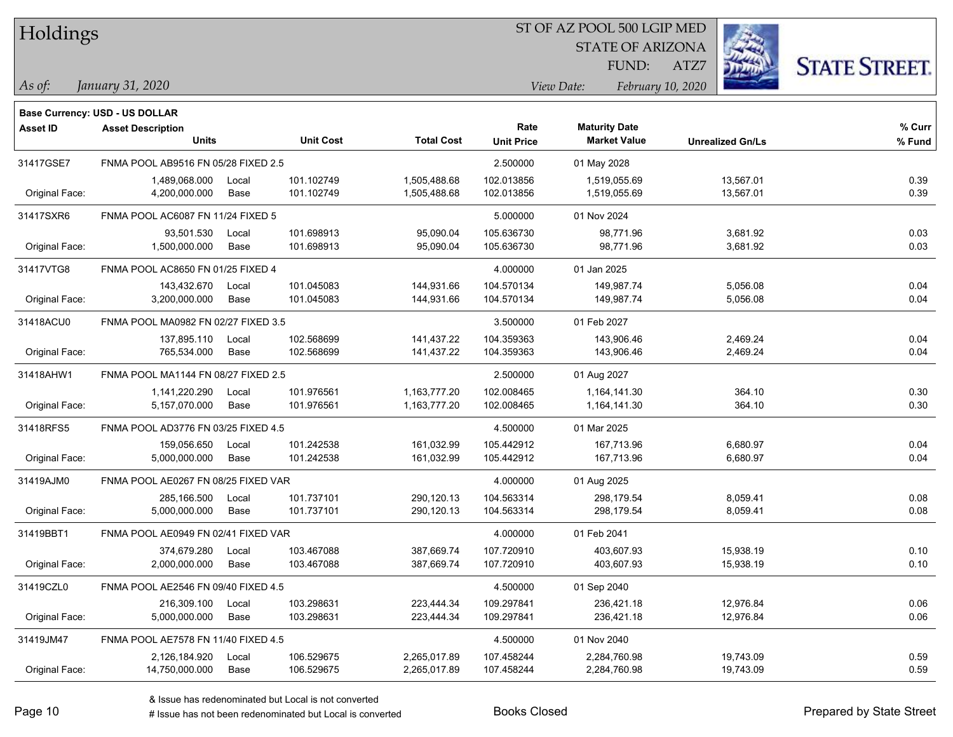| Holdings |
|----------|
|          |

STATE OF ARIZONA

ATZ7



**Base Currency: USD - US DOLLAR**

| <b>Asset ID</b> | <b>Asset Description</b>            |       |                  |                   | Rate              | <b>Maturity Date</b> |                         | % Curr |
|-----------------|-------------------------------------|-------|------------------|-------------------|-------------------|----------------------|-------------------------|--------|
|                 | <b>Units</b>                        |       | <b>Unit Cost</b> | <b>Total Cost</b> | <b>Unit Price</b> | <b>Market Value</b>  | <b>Unrealized Gn/Ls</b> | % Fund |
| 31417GSE7       | FNMA POOL AB9516 FN 05/28 FIXED 2.5 |       |                  |                   | 2.500000          | 01 May 2028          |                         |        |
|                 | 1,489,068.000                       | Local | 101.102749       | 1,505,488.68      | 102.013856        | 1,519,055.69         | 13,567.01               | 0.39   |
| Original Face:  | 4,200,000.000                       | Base  | 101.102749       | 1,505,488.68      | 102.013856        | 1,519,055.69         | 13,567.01               | 0.39   |
| 31417SXR6       | FNMA POOL AC6087 FN 11/24 FIXED 5   |       |                  |                   | 5.000000          | 01 Nov 2024          |                         |        |
|                 | 93,501.530                          | Local | 101.698913       | 95,090.04         | 105.636730        | 98,771.96            | 3,681.92                | 0.03   |
| Original Face:  | 1,500,000.000                       | Base  | 101.698913       | 95,090.04         | 105.636730        | 98,771.96            | 3,681.92                | 0.03   |
| 31417VTG8       | FNMA POOL AC8650 FN 01/25 FIXED 4   |       |                  |                   | 4.000000          | 01 Jan 2025          |                         |        |
|                 | 143,432.670                         | Local | 101.045083       | 144,931.66        | 104.570134        | 149,987.74           | 5,056.08                | 0.04   |
| Original Face:  | 3,200,000.000                       | Base  | 101.045083       | 144,931.66        | 104.570134        | 149,987.74           | 5,056.08                | 0.04   |
| 31418ACU0       | FNMA POOL MA0982 FN 02/27 FIXED 3.5 |       |                  |                   | 3.500000          | 01 Feb 2027          |                         |        |
|                 | 137.895.110                         | Local | 102.568699       | 141,437.22        | 104.359363        | 143,906.46           | 2,469.24                | 0.04   |
| Original Face:  | 765,534.000                         | Base  | 102.568699       | 141,437.22        | 104.359363        | 143,906.46           | 2,469.24                | 0.04   |
| 31418AHW1       | FNMA POOL MA1144 FN 08/27 FIXED 2.5 |       |                  |                   | 2.500000          | 01 Aug 2027          |                         |        |
|                 | 1,141,220.290                       | Local | 101.976561       | 1,163,777.20      | 102.008465        | 1,164,141.30         | 364.10                  | 0.30   |
| Original Face:  | 5,157,070.000                       | Base  | 101.976561       | 1,163,777.20      | 102.008465        | 1,164,141.30         | 364.10                  | 0.30   |
| 31418RFS5       | FNMA POOL AD3776 FN 03/25 FIXED 4.5 |       |                  |                   | 4.500000          | 01 Mar 2025          |                         |        |
|                 | 159,056.650                         | Local | 101.242538       | 161,032.99        | 105.442912        | 167,713.96           | 6,680.97                | 0.04   |
| Original Face:  | 5,000,000.000                       | Base  | 101.242538       | 161,032.99        | 105.442912        | 167,713.96           | 6,680.97                | 0.04   |
| 31419AJM0       | FNMA POOL AE0267 FN 08/25 FIXED VAR |       |                  |                   | 4.000000          | 01 Aug 2025          |                         |        |
|                 | 285,166.500                         | Local | 101.737101       | 290,120.13        | 104.563314        | 298,179.54           | 8,059.41                | 0.08   |
| Original Face:  | 5,000,000.000                       | Base  | 101.737101       | 290,120.13        | 104.563314        | 298,179.54           | 8,059.41                | 0.08   |
| 31419BBT1       | FNMA POOL AE0949 FN 02/41 FIXED VAR |       |                  |                   | 4.000000          | 01 Feb 2041          |                         |        |
|                 | 374,679.280                         | Local | 103.467088       | 387,669.74        | 107.720910        | 403,607.93           | 15,938.19               | 0.10   |
| Original Face:  | 2,000,000.000                       | Base  | 103.467088       | 387,669.74        | 107.720910        | 403,607.93           | 15,938.19               | 0.10   |
| 31419CZL0       | FNMA POOL AE2546 FN 09/40 FIXED 4.5 |       |                  |                   | 4.500000          | 01 Sep 2040          |                         |        |
|                 | 216,309.100                         | Local | 103.298631       | 223,444.34        | 109.297841        | 236,421.18           | 12,976.84               | 0.06   |
| Original Face:  | 5,000,000.000                       | Base  | 103.298631       | 223,444.34        | 109.297841        | 236,421.18           | 12,976.84               | 0.06   |
| 31419JM47       | FNMA POOL AE7578 FN 11/40 FIXED 4.5 |       |                  |                   | 4.500000          | 01 Nov 2040          |                         |        |
|                 | 2,126,184.920                       | Local | 106.529675       | 2,265,017.89      | 107.458244        | 2,284,760.98         | 19,743.09               | 0.59   |
| Original Face:  | 14,750,000.000                      | Base  | 106.529675       | 2,265,017.89      | 107.458244        | 2,284,760.98         | 19,743.09               | 0.59   |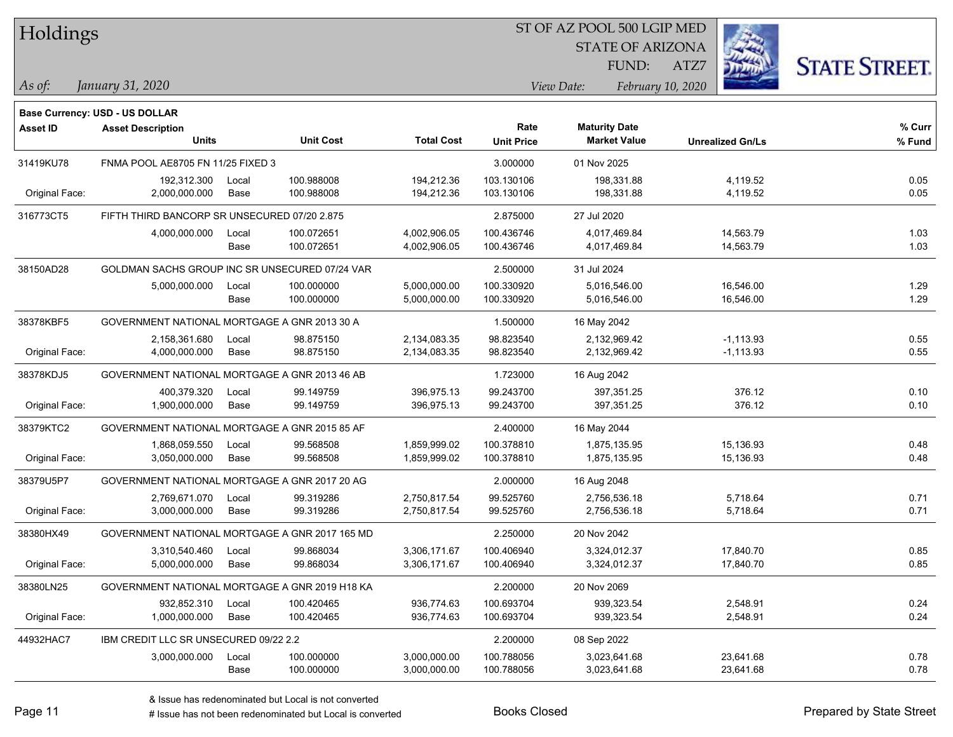|  | <b>Holdings</b> |
|--|-----------------|
|  |                 |

STATE OF ARIZONA

ATZ7



**Base Currency: USD - US DOLLAR**

| <b>Asset ID</b> | <b>Asset Description</b><br><b>Units</b>       |       | <b>Unit Cost</b> | <b>Total Cost</b> | Rate<br><b>Unit Price</b> | <b>Maturity Date</b><br><b>Market Value</b> | <b>Unrealized Gn/Ls</b> | % Curr<br>% Fund |
|-----------------|------------------------------------------------|-------|------------------|-------------------|---------------------------|---------------------------------------------|-------------------------|------------------|
| 31419KU78       | FNMA POOL AE8705 FN 11/25 FIXED 3              |       |                  |                   | 3.000000                  | 01 Nov 2025                                 |                         |                  |
|                 | 192,312.300                                    | Local | 100.988008       | 194,212.36        | 103.130106                | 198,331.88                                  | 4,119.52                | 0.05             |
| Original Face:  | 2,000,000.000                                  | Base  | 100.988008       | 194,212.36        | 103.130106                | 198,331.88                                  | 4,119.52                | 0.05             |
| 316773CT5       | FIFTH THIRD BANCORP SR UNSECURED 07/20 2.875   |       |                  |                   | 2.875000                  | 27 Jul 2020                                 |                         |                  |
|                 | 4,000,000.000                                  | Local | 100.072651       | 4,002,906.05      | 100.436746                | 4,017,469.84                                | 14,563.79               | 1.03             |
|                 |                                                | Base  | 100.072651       | 4,002,906.05      | 100.436746                | 4,017,469.84                                | 14,563.79               | 1.03             |
| 38150AD28       | GOLDMAN SACHS GROUP INC SR UNSECURED 07/24 VAR |       |                  |                   | 2.500000                  | 31 Jul 2024                                 |                         |                  |
|                 | 5,000,000.000                                  | Local | 100.000000       | 5,000,000.00      | 100.330920                | 5,016,546.00                                | 16,546.00               | 1.29             |
|                 |                                                | Base  | 100.000000       | 5,000,000.00      | 100.330920                | 5,016,546.00                                | 16,546.00               | 1.29             |
| 38378KBF5       | GOVERNMENT NATIONAL MORTGAGE A GNR 2013 30 A   |       |                  |                   | 1.500000                  | 16 May 2042                                 |                         |                  |
|                 | 2,158,361.680                                  | Local | 98.875150        | 2,134,083.35      | 98.823540                 | 2,132,969.42                                | $-1, 113.93$            | 0.55             |
| Original Face:  | 4,000,000.000                                  | Base  | 98.875150        | 2,134,083.35      | 98.823540                 | 2,132,969.42                                | $-1,113.93$             | 0.55             |
| 38378KDJ5       | GOVERNMENT NATIONAL MORTGAGE A GNR 2013 46 AB  |       |                  |                   | 1.723000                  | 16 Aug 2042                                 |                         |                  |
|                 | 400,379.320                                    | Local | 99.149759        | 396,975.13        | 99.243700                 | 397,351.25                                  | 376.12                  | 0.10             |
| Original Face:  | 1,900,000.000                                  | Base  | 99.149759        | 396,975.13        | 99.243700                 | 397,351.25                                  | 376.12                  | 0.10             |
| 38379KTC2       | GOVERNMENT NATIONAL MORTGAGE A GNR 2015 85 AF  |       |                  |                   | 2.400000                  | 16 May 2044                                 |                         |                  |
|                 | 1,868,059.550                                  | Local | 99.568508        | 1,859,999.02      | 100.378810                | 1,875,135.95                                | 15,136.93               | 0.48             |
| Original Face:  | 3,050,000.000                                  | Base  | 99.568508        | 1,859,999.02      | 100.378810                | 1,875,135.95                                | 15,136.93               | 0.48             |
| 38379U5P7       | GOVERNMENT NATIONAL MORTGAGE A GNR 2017 20 AG  |       |                  |                   | 2.000000                  | 16 Aug 2048                                 |                         |                  |
|                 | 2,769,671.070                                  | Local | 99.319286        | 2,750,817.54      | 99.525760                 | 2,756,536.18                                | 5,718.64                | 0.71             |
| Original Face:  | 3,000,000.000                                  | Base  | 99.319286        | 2,750,817.54      | 99.525760                 | 2,756,536.18                                | 5,718.64                | 0.71             |
| 38380HX49       | GOVERNMENT NATIONAL MORTGAGE A GNR 2017 165 MD |       |                  |                   | 2.250000                  | 20 Nov 2042                                 |                         |                  |
|                 | 3,310,540.460                                  | Local | 99.868034        | 3,306,171.67      | 100.406940                | 3,324,012.37                                | 17,840.70               | 0.85             |
| Original Face:  | 5,000,000.000                                  | Base  | 99.868034        | 3,306,171.67      | 100.406940                | 3,324,012.37                                | 17,840.70               | 0.85             |
| 38380LN25       | GOVERNMENT NATIONAL MORTGAGE A GNR 2019 H18 KA |       |                  |                   | 2.200000                  | 20 Nov 2069                                 |                         |                  |
|                 | 932,852.310                                    | Local | 100.420465       | 936,774.63        | 100.693704                | 939,323.54                                  | 2,548.91                | 0.24             |
| Original Face:  | 1,000,000.000                                  | Base  | 100.420465       | 936,774.63        | 100.693704                | 939,323.54                                  | 2,548.91                | 0.24             |
| 44932HAC7       | IBM CREDIT LLC SR UNSECURED 09/22 2.2          |       |                  |                   | 2.200000                  | 08 Sep 2022                                 |                         |                  |
|                 | 3,000,000.000                                  | Local | 100.000000       | 3,000,000.00      | 100.788056                | 3,023,641.68                                | 23,641.68               | 0.78             |
|                 |                                                | Base  | 100.000000       | 3,000,000.00      | 100.788056                | 3,023,641.68                                | 23,641.68               | 0.78             |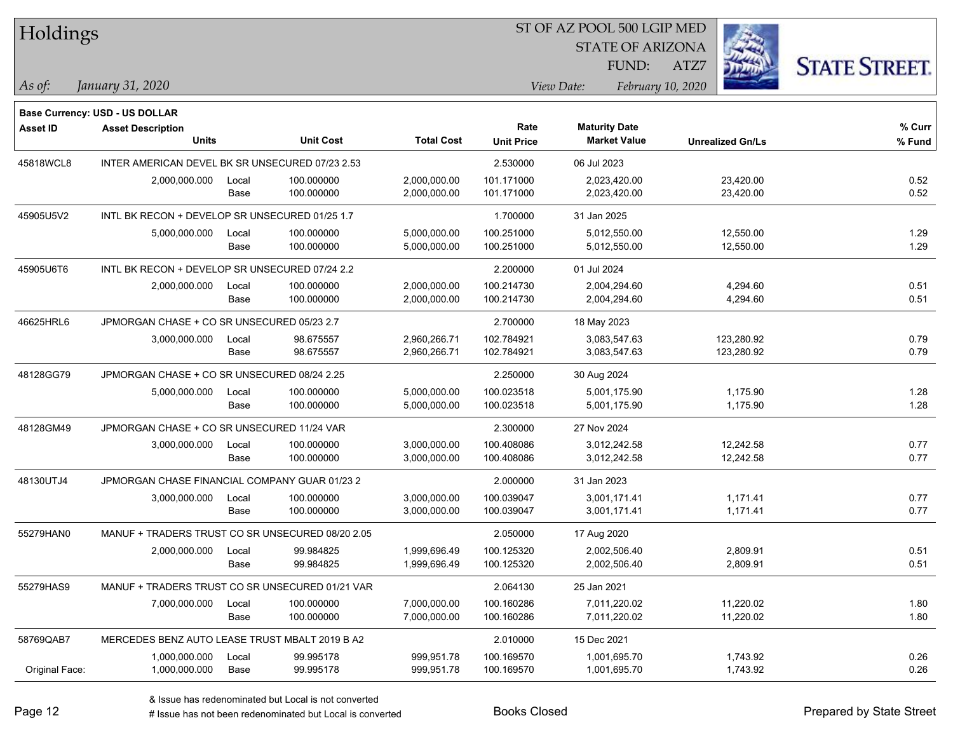| Holdings        |                                                            |       |                  |                   | ST OF AZ POOL 500 LGIP MED |                         |                         |                      |
|-----------------|------------------------------------------------------------|-------|------------------|-------------------|----------------------------|-------------------------|-------------------------|----------------------|
|                 |                                                            |       |                  |                   |                            | <b>STATE OF ARIZONA</b> |                         |                      |
|                 |                                                            |       |                  |                   |                            | FUND:                   | ATZ7                    | <b>STATE STREET.</b> |
| $\vert$ As of:  | January 31, 2020                                           |       |                  |                   |                            | View Date:              | February 10, 2020       |                      |
|                 |                                                            |       |                  |                   |                            |                         |                         |                      |
| <b>Asset ID</b> | Base Currency: USD - US DOLLAR<br><b>Asset Description</b> |       |                  |                   | Rate                       | <b>Maturity Date</b>    |                         | % Curr               |
|                 | <b>Units</b>                                               |       | <b>Unit Cost</b> | <b>Total Cost</b> | <b>Unit Price</b>          | <b>Market Value</b>     | <b>Unrealized Gn/Ls</b> | % Fund               |
| 45818WCL8       | INTER AMERICAN DEVEL BK SR UNSECURED 07/23 2.53            |       |                  |                   | 2.530000                   | 06 Jul 2023             |                         |                      |
|                 | 2,000,000.000                                              | Local | 100.000000       | 2,000,000.00      | 101.171000                 | 2,023,420.00            | 23,420.00               | 0.52                 |
|                 |                                                            | Base  | 100.000000       | 2,000,000.00      | 101.171000                 | 2,023,420.00            | 23,420.00               | 0.52                 |
| 45905U5V2       | INTL BK RECON + DEVELOP SR UNSECURED 01/25 1.7             |       |                  |                   | 1.700000                   | 31 Jan 2025             |                         |                      |
|                 | 5,000,000.000                                              | Local | 100.000000       | 5,000,000.00      | 100.251000                 | 5,012,550.00            | 12,550.00               | 1.29                 |
|                 |                                                            | Base  | 100.000000       | 5,000,000.00      | 100.251000                 | 5,012,550.00            | 12,550.00               | 1.29                 |
| 45905U6T6       | INTL BK RECON + DEVELOP SR UNSECURED 07/24 2.2             |       |                  |                   | 2.200000                   | 01 Jul 2024             |                         |                      |
|                 | 2,000,000.000                                              | Local | 100.000000       | 2,000,000.00      | 100.214730                 | 2,004,294.60            | 4,294.60                | 0.51                 |
|                 |                                                            | Base  | 100.000000       | 2,000,000.00      | 100.214730                 | 2,004,294.60            | 4,294.60                | 0.51                 |
| 46625HRL6       | JPMORGAN CHASE + CO SR UNSECURED 05/23 2.7                 |       |                  |                   | 2.700000                   | 18 May 2023             |                         |                      |
|                 | 3,000,000.000                                              | Local | 98.675557        | 2,960,266.71      | 102.784921                 | 3,083,547.63            | 123,280.92              | 0.79                 |
|                 |                                                            | Base  | 98.675557        | 2,960,266.71      | 102.784921                 | 3,083,547.63            | 123,280.92              | 0.79                 |
| 48128GG79       | JPMORGAN CHASE + CO SR UNSECURED 08/24 2.25                |       |                  |                   | 2.250000                   | 30 Aug 2024             |                         |                      |
|                 | 5,000,000.000                                              | Local | 100.000000       | 5,000,000.00      | 100.023518                 | 5,001,175.90            | 1,175.90                | 1.28                 |
|                 |                                                            | Base  | 100.000000       | 5,000,000.00      | 100.023518                 | 5,001,175.90            | 1,175.90                | 1.28                 |
| 48128GM49       | JPMORGAN CHASE + CO SR UNSECURED 11/24 VAR                 |       |                  |                   | 2.300000                   | 27 Nov 2024             |                         |                      |
|                 | 3,000,000.000                                              | Local | 100.000000       | 3,000,000.00      | 100.408086                 | 3,012,242.58            | 12,242.58               | 0.77                 |
|                 |                                                            | Base  | 100.000000       | 3,000,000.00      | 100.408086                 | 3,012,242.58            | 12,242.58               | 0.77                 |
| 48130UTJ4       | JPMORGAN CHASE FINANCIAL COMPANY GUAR 01/23 2              |       |                  |                   | 2.000000                   | 31 Jan 2023             |                         |                      |
|                 | 3,000,000.000                                              | Local | 100.000000       | 3,000,000.00      | 100.039047                 | 3,001,171.41            | 1,171.41                | 0.77                 |
|                 |                                                            | Base  | 100.000000       | 3,000,000.00      | 100.039047                 | 3,001,171.41            | 1,171.41                | 0.77                 |
| 55279HAN0       | MANUF + TRADERS TRUST CO SR UNSECURED 08/20 2.05           |       |                  |                   | 2.050000                   | 17 Aug 2020             |                         |                      |
|                 | 2,000,000.000                                              | Local | 99.984825        | 1,999,696.49      | 100.125320                 | 2,002,506.40            | 2,809.91                | 0.51                 |
|                 |                                                            | Base  | 99.984825        | 1,999,696.49      | 100.125320                 | 2,002,506.40            | 2,809.91                | 0.51                 |
| 55279HAS9       | MANUF + TRADERS TRUST CO SR UNSECURED 01/21 VAR            |       |                  |                   | 2.064130                   | 25 Jan 2021             |                         |                      |
|                 | 7,000,000.000                                              | Local | 100.000000       | 7,000,000.00      | 100.160286                 | 7,011,220.02            | 11,220.02               | 1.80                 |
|                 |                                                            | Base  | 100.000000       | 7,000,000.00      | 100.160286                 | 7,011,220.02            | 11,220.02               | 1.80                 |
| 58769QAB7       | MERCEDES BENZ AUTO LEASE TRUST MBALT 2019 B A2             |       |                  |                   | 2.010000                   | 15 Dec 2021             |                         |                      |
|                 | 1,000,000.000                                              | Local | 99.995178        | 999,951.78        | 100.169570                 | 1,001,695.70            | 1,743.92                | 0.26                 |
| Original Face:  | 1,000,000.000                                              | Base  | 99.995178        | 999,951.78        | 100.169570                 | 1,001,695.70            | 1,743.92                | 0.26                 |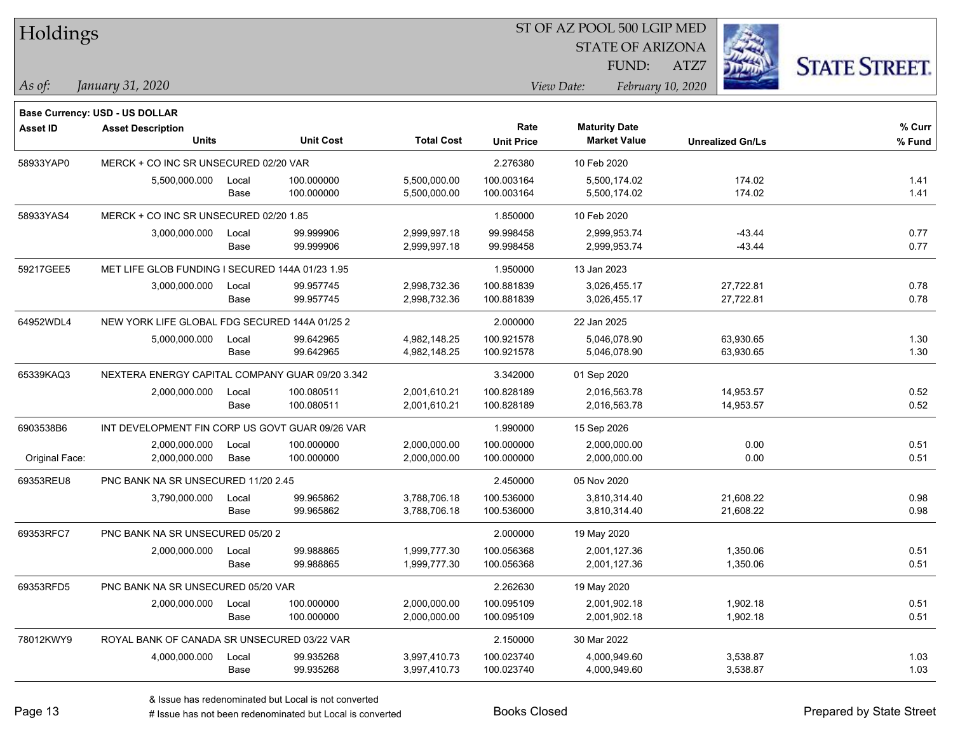| Holdings        |                                                 |       |                  |                   |                   | ST OF AZ POOL 500 LGIP MED                  |                         |                      |
|-----------------|-------------------------------------------------|-------|------------------|-------------------|-------------------|---------------------------------------------|-------------------------|----------------------|
|                 |                                                 |       |                  |                   |                   | <b>STATE OF ARIZONA</b>                     |                         |                      |
|                 |                                                 |       |                  |                   |                   | FUND:                                       | ATZ7                    | <b>STATE STREET.</b> |
| $\vert$ As of:  | January 31, 2020                                |       |                  |                   |                   | View Date:                                  | February 10, 2020       |                      |
|                 |                                                 |       |                  |                   |                   |                                             |                         |                      |
|                 | <b>Base Currency: USD - US DOLLAR</b>           |       |                  |                   | Rate              |                                             |                         | % Curr               |
| <b>Asset ID</b> | <b>Asset Description</b><br><b>Units</b>        |       | <b>Unit Cost</b> | <b>Total Cost</b> | <b>Unit Price</b> | <b>Maturity Date</b><br><b>Market Value</b> | <b>Unrealized Gn/Ls</b> | % Fund               |
| 58933YAP0       | MERCK + CO INC SR UNSECURED 02/20 VAR           |       |                  |                   | 2.276380          | 10 Feb 2020                                 |                         |                      |
|                 | 5,500,000.000                                   | Local | 100.000000       | 5,500,000.00      | 100.003164        | 5,500,174.02                                | 174.02                  | 1.41                 |
|                 |                                                 | Base  | 100.000000       | 5,500,000.00      | 100.003164        | 5,500,174.02                                | 174.02                  | 1.41                 |
| 58933YAS4       | MERCK + CO INC SR UNSECURED 02/20 1.85          |       |                  |                   | 1.850000          | 10 Feb 2020                                 |                         |                      |
|                 | 3,000,000.000                                   | Local | 99.999906        | 2,999,997.18      | 99.998458         | 2,999,953.74                                | $-43.44$                | 0.77                 |
|                 |                                                 | Base  | 99.999906        | 2,999,997.18      | 99.998458         | 2,999,953.74                                | $-43.44$                | 0.77                 |
| 59217GEE5       | MET LIFE GLOB FUNDING I SECURED 144A 01/23 1.95 |       |                  |                   | 1.950000          | 13 Jan 2023                                 |                         |                      |
|                 | 3,000,000.000                                   | Local | 99.957745        | 2,998,732.36      | 100.881839        | 3,026,455.17                                | 27,722.81               | 0.78                 |
|                 |                                                 | Base  | 99.957745        | 2,998,732.36      | 100.881839        | 3,026,455.17                                | 27,722.81               | 0.78                 |
| 64952WDL4       | NEW YORK LIFE GLOBAL FDG SECURED 144A 01/25 2   |       |                  |                   | 2.000000          | 22 Jan 2025                                 |                         |                      |
|                 | 5,000,000.000                                   | Local | 99.642965        | 4,982,148.25      | 100.921578        | 5,046,078.90                                | 63,930.65               | 1.30                 |
|                 |                                                 | Base  | 99.642965        | 4,982,148.25      | 100.921578        | 5,046,078.90                                | 63,930.65               | 1.30                 |
| 65339KAQ3       | NEXTERA ENERGY CAPITAL COMPANY GUAR 09/20 3.342 |       |                  |                   | 3.342000          | 01 Sep 2020                                 |                         |                      |
|                 | 2,000,000.000                                   | Local | 100.080511       | 2,001,610.21      | 100.828189        | 2,016,563.78                                | 14,953.57               | 0.52                 |
|                 |                                                 | Base  | 100.080511       | 2,001,610.21      | 100.828189        | 2,016,563.78                                | 14,953.57               | 0.52                 |
| 6903538B6       | INT DEVELOPMENT FIN CORP US GOVT GUAR 09/26 VAR |       |                  |                   | 1.990000          | 15 Sep 2026                                 |                         |                      |
|                 | 2,000,000.000                                   | Local | 100.000000       | 2,000,000.00      | 100.000000        | 2,000,000.00                                | 0.00                    | 0.51                 |
| Original Face:  | 2,000,000.000                                   | Base  | 100.000000       | 2,000,000.00      | 100.000000        | 2,000,000.00                                | 0.00                    | 0.51                 |
| 69353REU8       | PNC BANK NA SR UNSECURED 11/20 2.45             |       |                  |                   | 2.450000          | 05 Nov 2020                                 |                         |                      |
|                 | 3,790,000.000                                   | Local | 99.965862        | 3,788,706.18      | 100.536000        | 3,810,314.40                                | 21,608.22               | 0.98                 |
|                 |                                                 | Base  | 99.965862        | 3,788,706.18      | 100.536000        | 3,810,314.40                                | 21,608.22               | 0.98                 |
| 69353RFC7       | PNC BANK NA SR UNSECURED 05/20 2                |       |                  |                   | 2.000000          | 19 May 2020                                 |                         |                      |
|                 | 2,000,000.000 Local                             |       | 99.988865        | 1,999,777.30      | 100.056368        | 2,001,127.36                                | 1,350.06                | 0.51                 |
|                 |                                                 | Base  | 99.988865        | 1,999,777.30      | 100.056368        | 2,001,127.36                                | 1,350.06                | 0.51                 |
| 69353RFD5       | PNC BANK NA SR UNSECURED 05/20 VAR              |       |                  |                   | 2.262630          | 19 May 2020                                 |                         |                      |
|                 | 2,000,000.000                                   | Local | 100.000000       | 2,000,000.00      | 100.095109        | 2,001,902.18                                | 1,902.18                | 0.51                 |
|                 |                                                 | Base  | 100.000000       | 2,000,000.00      | 100.095109        | 2,001,902.18                                | 1,902.18                | 0.51                 |
| 78012KWY9       | ROYAL BANK OF CANADA SR UNSECURED 03/22 VAR     |       |                  |                   | 2.150000          | 30 Mar 2022                                 |                         |                      |
|                 | 4,000,000.000                                   | Local | 99.935268        | 3,997,410.73      | 100.023740        | 4,000,949.60                                | 3,538.87                | 1.03                 |
|                 |                                                 | Base  | 99.935268        | 3,997,410.73      | 100.023740        | 4,000,949.60                                | 3,538.87                | 1.03                 |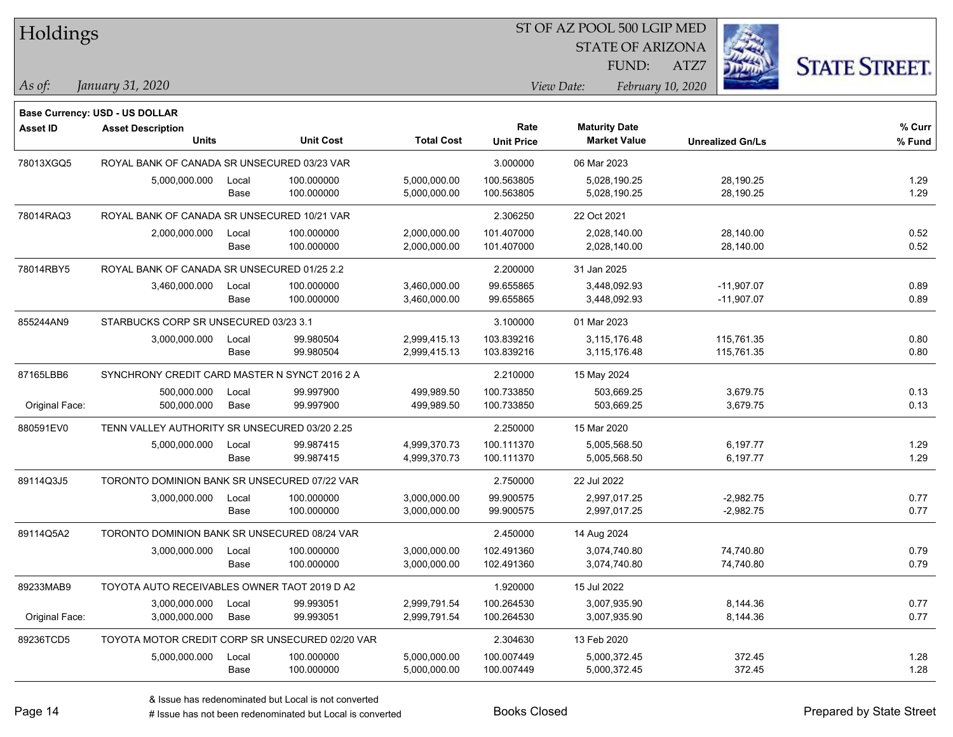| Holdings        |                                                 |       |                  |                   |                   | ST OF AZ POOL 500 LGIP MED |                         |                      |
|-----------------|-------------------------------------------------|-------|------------------|-------------------|-------------------|----------------------------|-------------------------|----------------------|
|                 |                                                 |       |                  |                   |                   | <b>STATE OF ARIZONA</b>    |                         |                      |
|                 |                                                 |       |                  |                   |                   | FUND:                      | ATZ7                    | <b>STATE STREET.</b> |
| As of:          | January 31, 2020                                |       |                  |                   |                   | View Date:                 | February 10, 2020       |                      |
|                 | <b>Base Currency: USD - US DOLLAR</b>           |       |                  |                   |                   |                            |                         |                      |
| <b>Asset ID</b> | <b>Asset Description</b>                        |       |                  |                   | Rate              | <b>Maturity Date</b>       |                         | % Curr               |
|                 | <b>Units</b>                                    |       | <b>Unit Cost</b> | <b>Total Cost</b> | <b>Unit Price</b> | <b>Market Value</b>        | <b>Unrealized Gn/Ls</b> | % Fund               |
| 78013XGQ5       | ROYAL BANK OF CANADA SR UNSECURED 03/23 VAR     |       |                  |                   | 3.000000          | 06 Mar 2023                |                         |                      |
|                 | 5,000,000.000                                   | Local | 100.000000       | 5,000,000.00      | 100.563805        | 5,028,190.25               | 28,190.25               | 1.29                 |
|                 |                                                 | Base  | 100.000000       | 5,000,000.00      | 100.563805        | 5,028,190.25               | 28,190.25               | 1.29                 |
| 78014RAQ3       | ROYAL BANK OF CANADA SR UNSECURED 10/21 VAR     |       |                  |                   | 2.306250          | 22 Oct 2021                |                         |                      |
|                 | 2,000,000.000                                   | Local | 100.000000       | 2,000,000.00      | 101.407000        | 2,028,140.00               | 28,140.00               | 0.52                 |
|                 |                                                 | Base  | 100.000000       | 2,000,000.00      | 101.407000        | 2,028,140.00               | 28,140.00               | 0.52                 |
| 78014RBY5       | ROYAL BANK OF CANADA SR UNSECURED 01/25 2.2     |       |                  |                   | 2.200000          | 31 Jan 2025                |                         |                      |
|                 | 3,460,000.000                                   | Local | 100.000000       | 3,460,000.00      | 99.655865         | 3,448,092.93               | $-11,907.07$            | 0.89                 |
|                 |                                                 | Base  | 100.000000       | 3,460,000.00      | 99.655865         | 3,448,092.93               | $-11,907.07$            | 0.89                 |
| 855244AN9       | STARBUCKS CORP SR UNSECURED 03/23 3.1           |       |                  |                   | 3.100000          | 01 Mar 2023                |                         |                      |
|                 | 3,000,000.000                                   | Local | 99.980504        | 2,999,415.13      | 103.839216        | 3,115,176.48               | 115,761.35              | 0.80                 |
|                 |                                                 | Base  | 99.980504        | 2,999,415.13      | 103.839216        | 3,115,176.48               | 115,761.35              | 0.80                 |
| 87165LBB6       | SYNCHRONY CREDIT CARD MASTER N SYNCT 2016 2 A   |       |                  |                   | 2.210000          | 15 May 2024                |                         |                      |
|                 | 500,000.000                                     | Local | 99.997900        | 499,989.50        | 100.733850        | 503,669.25                 | 3,679.75                | 0.13                 |
| Original Face:  | 500,000.000                                     | Base  | 99.997900        | 499,989.50        | 100.733850        | 503,669.25                 | 3,679.75                | 0.13                 |
| 880591EV0       | TENN VALLEY AUTHORITY SR UNSECURED 03/20 2.25   |       |                  |                   | 2.250000          | 15 Mar 2020                |                         |                      |
|                 | 5,000,000.000                                   | Local | 99.987415        | 4,999,370.73      | 100.111370        | 5,005,568.50               | 6,197.77                | 1.29                 |
|                 |                                                 | Base  | 99.987415        | 4,999,370.73      | 100.111370        | 5,005,568.50               | 6,197.77                | 1.29                 |
| 89114Q3J5       | TORONTO DOMINION BANK SR UNSECURED 07/22 VAR    |       |                  |                   | 2.750000          | 22 Jul 2022                |                         |                      |
|                 | 3,000,000.000                                   | Local | 100.000000       | 3,000,000.00      | 99.900575         | 2,997,017.25               | $-2,982.75$             | 0.77                 |
|                 |                                                 | Base  | 100.000000       | 3,000,000.00      | 99.900575         | 2,997,017.25               | $-2,982.75$             | 0.77                 |
| 89114Q5A2       | TORONTO DOMINION BANK SR UNSECURED 08/24 VAR    |       |                  |                   | 2.450000          | 14 Aug 2024                |                         |                      |
|                 | 3,000,000.000                                   | Local | 100.000000       | 3,000,000.00      | 102.491360        | 3,074,740.80               | 74,740.80               | 0.79                 |
|                 |                                                 | Base  | 100.000000       | 3,000,000.00      | 102.491360        | 3,074,740.80               | 74,740.80               | 0.79                 |
| 89233MAB9       | TOYOTA AUTO RECEIVABLES OWNER TAOT 2019 D A2    |       |                  |                   | 1.920000          | 15 Jul 2022                |                         |                      |
|                 | 3,000,000.000                                   | Local | 99.993051        | 2,999,791.54      | 100.264530        | 3,007,935.90               | 8,144.36                | 0.77                 |
| Original Face:  | 3,000,000.000                                   | Base  | 99.993051        | 2,999,791.54      | 100.264530        | 3,007,935.90               | 8,144.36                | 0.77                 |
| 89236TCD5       | TOYOTA MOTOR CREDIT CORP SR UNSECURED 02/20 VAR |       |                  |                   | 2.304630          | 13 Feb 2020                |                         |                      |
|                 | 5,000,000.000                                   | Local | 100.000000       | 5,000,000.00      | 100.007449        | 5,000,372.45               | 372.45                  | 1.28                 |
|                 |                                                 | Base  | 100.000000       | 5,000,000.00      | 100.007449        | 5,000,372.45               | 372.45                  | 1.28                 |

denote the redenominated but Local is converted Books Closed Prepared by State Street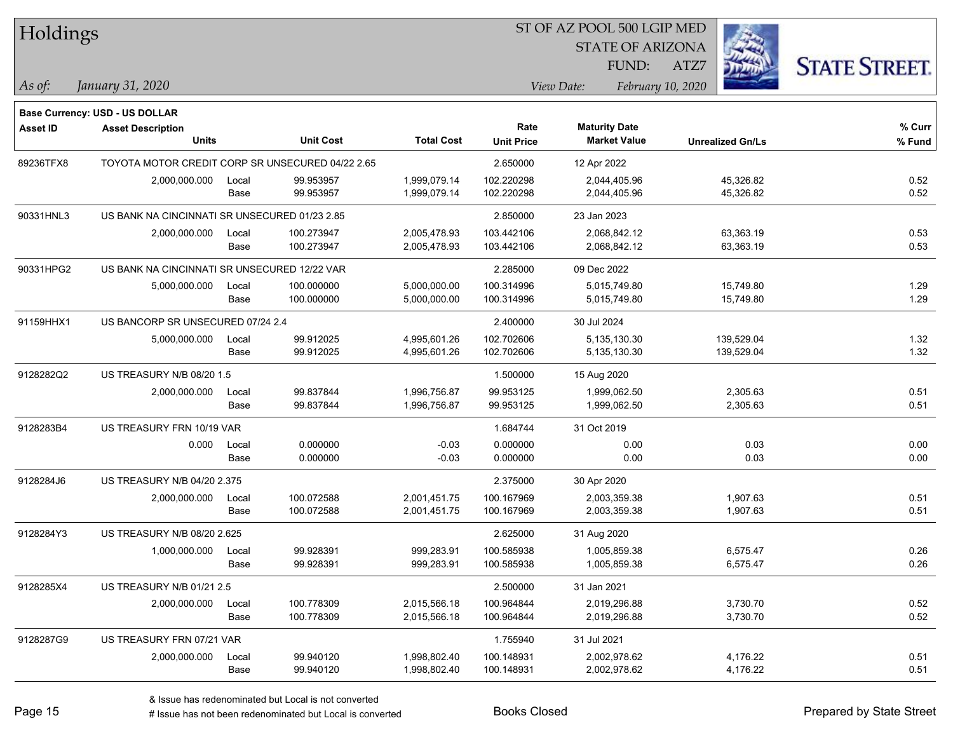| Holdings        |                                                            |       |                  |                   | ST OF AZ POOL 500 LGIP MED |                         |                         |                      |
|-----------------|------------------------------------------------------------|-------|------------------|-------------------|----------------------------|-------------------------|-------------------------|----------------------|
|                 |                                                            |       |                  |                   |                            | <b>STATE OF ARIZONA</b> |                         |                      |
|                 |                                                            |       |                  |                   |                            | FUND:                   | ATZ7                    | <b>STATE STREET.</b> |
| As of:          | January 31, 2020                                           |       |                  |                   |                            | View Date:              | February 10, 2020       |                      |
|                 |                                                            |       |                  |                   |                            |                         |                         |                      |
| <b>Asset ID</b> | Base Currency: USD - US DOLLAR<br><b>Asset Description</b> |       |                  |                   | Rate                       | <b>Maturity Date</b>    |                         | % Curr               |
|                 | <b>Units</b>                                               |       | <b>Unit Cost</b> | <b>Total Cost</b> | <b>Unit Price</b>          | <b>Market Value</b>     | <b>Unrealized Gn/Ls</b> | % Fund               |
| 89236TFX8       | TOYOTA MOTOR CREDIT CORP SR UNSECURED 04/22 2.65           |       |                  |                   | 2.650000                   | 12 Apr 2022             |                         |                      |
|                 | 2,000,000.000                                              | Local | 99.953957        | 1,999,079.14      | 102.220298                 | 2,044,405.96            | 45,326.82               | 0.52                 |
|                 |                                                            | Base  | 99.953957        | 1,999,079.14      | 102.220298                 | 2,044,405.96            | 45,326.82               | 0.52                 |
| 90331HNL3       | US BANK NA CINCINNATI SR UNSECURED 01/23 2.85              |       |                  |                   | 2.850000                   | 23 Jan 2023             |                         |                      |
|                 | 2,000,000.000                                              | Local | 100.273947       | 2,005,478.93      | 103.442106                 | 2,068,842.12            | 63,363.19               | 0.53                 |
|                 |                                                            | Base  | 100.273947       | 2,005,478.93      | 103.442106                 | 2,068,842.12            | 63,363.19               | 0.53                 |
| 90331HPG2       | US BANK NA CINCINNATI SR UNSECURED 12/22 VAR               |       |                  |                   | 2.285000                   | 09 Dec 2022             |                         |                      |
|                 | 5,000,000.000                                              | Local | 100.000000       | 5,000,000.00      | 100.314996                 | 5,015,749.80            | 15,749.80               | 1.29                 |
|                 |                                                            | Base  | 100.000000       | 5,000,000.00      | 100.314996                 | 5,015,749.80            | 15,749.80               | 1.29                 |
| 91159HHX1       | US BANCORP SR UNSECURED 07/24 2.4                          |       |                  |                   | 2.400000                   | 30 Jul 2024             |                         |                      |
|                 | 5,000,000.000                                              | Local | 99.912025        | 4,995,601.26      | 102.702606                 | 5,135,130.30            | 139,529.04              | 1.32                 |
|                 |                                                            | Base  | 99.912025        | 4,995,601.26      | 102.702606                 | 5,135,130.30            | 139,529.04              | 1.32                 |
| 9128282Q2       | US TREASURY N/B 08/20 1.5                                  |       |                  |                   | 1.500000                   | 15 Aug 2020             |                         |                      |
|                 | 2,000,000.000                                              | Local | 99.837844        | 1,996,756.87      | 99.953125                  | 1,999,062.50            | 2,305.63                | 0.51                 |
|                 |                                                            | Base  | 99.837844        | 1,996,756.87      | 99.953125                  | 1,999,062.50            | 2,305.63                | 0.51                 |
| 9128283B4       | US TREASURY FRN 10/19 VAR                                  |       |                  |                   | 1.684744                   | 31 Oct 2019             |                         |                      |
|                 | 0.000                                                      | Local | 0.000000         | $-0.03$           | 0.000000                   | 0.00                    | 0.03                    | 0.00                 |
|                 |                                                            | Base  | 0.000000         | $-0.03$           | 0.000000                   | 0.00                    | 0.03                    | 0.00                 |
| 9128284J6       | US TREASURY N/B 04/20 2.375                                |       |                  |                   | 2.375000                   | 30 Apr 2020             |                         |                      |
|                 | 2,000,000.000                                              | Local | 100.072588       | 2,001,451.75      | 100.167969                 | 2,003,359.38            | 1,907.63                | 0.51                 |
|                 |                                                            | Base  | 100.072588       | 2,001,451.75      | 100.167969                 | 2,003,359.38            | 1,907.63                | 0.51                 |
| 9128284Y3       | US TREASURY N/B 08/20 2.625                                |       |                  |                   | 2.625000                   | 31 Aug 2020             |                         |                      |
|                 | 1,000,000.000                                              | Local | 99.928391        | 999,283.91        | 100.585938                 | 1,005,859.38            | 6,575.47                | 0.26                 |
|                 |                                                            | Base  | 99.928391        | 999,283.91        | 100.585938                 | 1,005,859.38            | 6,575.47                | 0.26                 |
| 9128285X4       | US TREASURY N/B 01/21 2.5                                  |       |                  |                   | 2.500000                   | 31 Jan 2021             |                         |                      |
|                 | 2,000,000.000                                              | Local | 100.778309       | 2,015,566.18      | 100.964844                 | 2,019,296.88            | 3,730.70                | 0.52                 |
|                 |                                                            | Base  | 100.778309       | 2,015,566.18      | 100.964844                 | 2,019,296.88            | 3,730.70                | 0.52                 |
| 9128287G9       | US TREASURY FRN 07/21 VAR                                  |       |                  |                   | 1.755940                   | 31 Jul 2021             |                         |                      |
|                 | 2,000,000.000                                              | Local | 99.940120        | 1,998,802.40      | 100.148931                 | 2,002,978.62            | 4,176.22                | 0.51                 |
|                 |                                                            | Base  | 99.940120        | 1,998,802.40      | 100.148931                 | 2,002,978.62            | 4,176.22                | 0.51                 |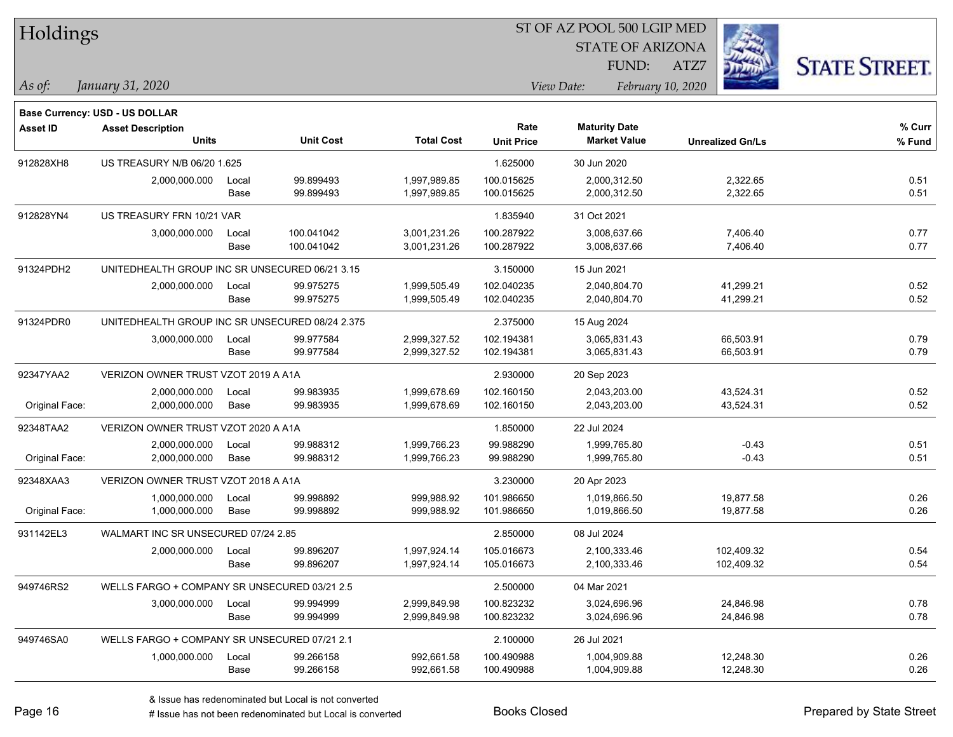| <b>Holdings</b> |  |
|-----------------|--|
|-----------------|--|

STATE OF ARIZONA

ATZ7



**Base Currency: USD - US DOLLAR**

| <b>Asset ID</b> | <b>Asset Description</b>                        |       |                  |                   | Rate              | <b>Maturity Date</b> |                         | % Curr |
|-----------------|-------------------------------------------------|-------|------------------|-------------------|-------------------|----------------------|-------------------------|--------|
|                 | Units                                           |       | <b>Unit Cost</b> | <b>Total Cost</b> | <b>Unit Price</b> | <b>Market Value</b>  | <b>Unrealized Gn/Ls</b> | % Fund |
| 912828XH8       | US TREASURY N/B 06/20 1.625                     |       |                  |                   | 1.625000          | 30 Jun 2020          |                         |        |
|                 | 2,000,000.000                                   | Local | 99.899493        | 1,997,989.85      | 100.015625        | 2,000,312.50         | 2,322.65                | 0.51   |
|                 |                                                 | Base  | 99.899493        | 1,997,989.85      | 100.015625        | 2,000,312.50         | 2,322.65                | 0.51   |
| 912828YN4       | US TREASURY FRN 10/21 VAR                       |       |                  |                   | 1.835940          | 31 Oct 2021          |                         |        |
|                 | 3,000,000.000                                   | Local | 100.041042       | 3,001,231.26      | 100.287922        | 3,008,637.66         | 7,406.40                | 0.77   |
|                 |                                                 | Base  | 100.041042       | 3,001,231.26      | 100.287922        | 3,008,637.66         | 7,406.40                | 0.77   |
| 91324PDH2       | UNITEDHEALTH GROUP INC SR UNSECURED 06/21 3.15  |       |                  |                   | 3.150000          | 15 Jun 2021          |                         |        |
|                 | 2,000,000.000                                   | Local | 99.975275        | 1,999,505.49      | 102.040235        | 2,040,804.70         | 41,299.21               | 0.52   |
|                 |                                                 | Base  | 99.975275        | 1,999,505.49      | 102.040235        | 2,040,804.70         | 41,299.21               | 0.52   |
| 91324PDR0       | UNITEDHEALTH GROUP INC SR UNSECURED 08/24 2.375 |       |                  |                   | 2.375000          | 15 Aug 2024          |                         |        |
|                 | 3,000,000.000                                   | Local | 99.977584        | 2,999,327.52      | 102.194381        | 3,065,831.43         | 66,503.91               | 0.79   |
|                 |                                                 | Base  | 99.977584        | 2,999,327.52      | 102.194381        | 3,065,831.43         | 66,503.91               | 0.79   |
| 92347YAA2       | VERIZON OWNER TRUST VZOT 2019 A A1A             |       |                  |                   | 2.930000          | 20 Sep 2023          |                         |        |
|                 | 2,000,000.000                                   | Local | 99.983935        | 1,999,678.69      | 102.160150        | 2,043,203.00         | 43,524.31               | 0.52   |
| Original Face:  | 2,000,000.000                                   | Base  | 99.983935        | 1,999,678.69      | 102.160150        | 2,043,203.00         | 43,524.31               | 0.52   |
| 92348TAA2       | VERIZON OWNER TRUST VZOT 2020 A A1A             |       |                  |                   | 1.850000          | 22 Jul 2024          |                         |        |
|                 | 2,000,000.000                                   | Local | 99.988312        | 1,999,766.23      | 99.988290         | 1,999,765.80         | $-0.43$                 | 0.51   |
| Original Face:  | 2,000,000.000                                   | Base  | 99.988312        | 1,999,766.23      | 99.988290         | 1,999,765.80         | $-0.43$                 | 0.51   |
| 92348XAA3       | VERIZON OWNER TRUST VZOT 2018 A A1A             |       |                  |                   | 3.230000          | 20 Apr 2023          |                         |        |
|                 | 1,000,000.000                                   | Local | 99.998892        | 999,988.92        | 101.986650        | 1,019,866.50         | 19,877.58               | 0.26   |
| Original Face:  | 1,000,000.000                                   | Base  | 99.998892        | 999,988.92        | 101.986650        | 1,019,866.50         | 19,877.58               | 0.26   |
| 931142EL3       | WALMART INC SR UNSECURED 07/24 2.85             |       |                  |                   | 2.850000          | 08 Jul 2024          |                         |        |
|                 | 2,000,000.000                                   | Local | 99.896207        | 1,997,924.14      | 105.016673        | 2,100,333.46         | 102,409.32              | 0.54   |
|                 |                                                 | Base  | 99.896207        | 1,997,924.14      | 105.016673        | 2,100,333.46         | 102,409.32              | 0.54   |
| 949746RS2       | WELLS FARGO + COMPANY SR UNSECURED 03/21 2.5    |       |                  |                   | 2.500000          | 04 Mar 2021          |                         |        |
|                 | 3,000,000.000                                   | Local | 99.994999        | 2,999,849.98      | 100.823232        | 3,024,696.96         | 24,846.98               | 0.78   |
|                 |                                                 | Base  | 99.994999        | 2,999,849.98      | 100.823232        | 3,024,696.96         | 24,846.98               | 0.78   |
| 949746SA0       | WELLS FARGO + COMPANY SR UNSECURED 07/21 2.1    |       |                  |                   | 2.100000          | 26 Jul 2021          |                         |        |
|                 | 1,000,000.000                                   | Local | 99.266158        | 992,661.58        | 100.490988        | 1,004,909.88         | 12,248.30               | 0.26   |
|                 |                                                 | Base  | 99.266158        | 992,661.58        | 100.490988        | 1,004,909.88         | 12,248.30               | 0.26   |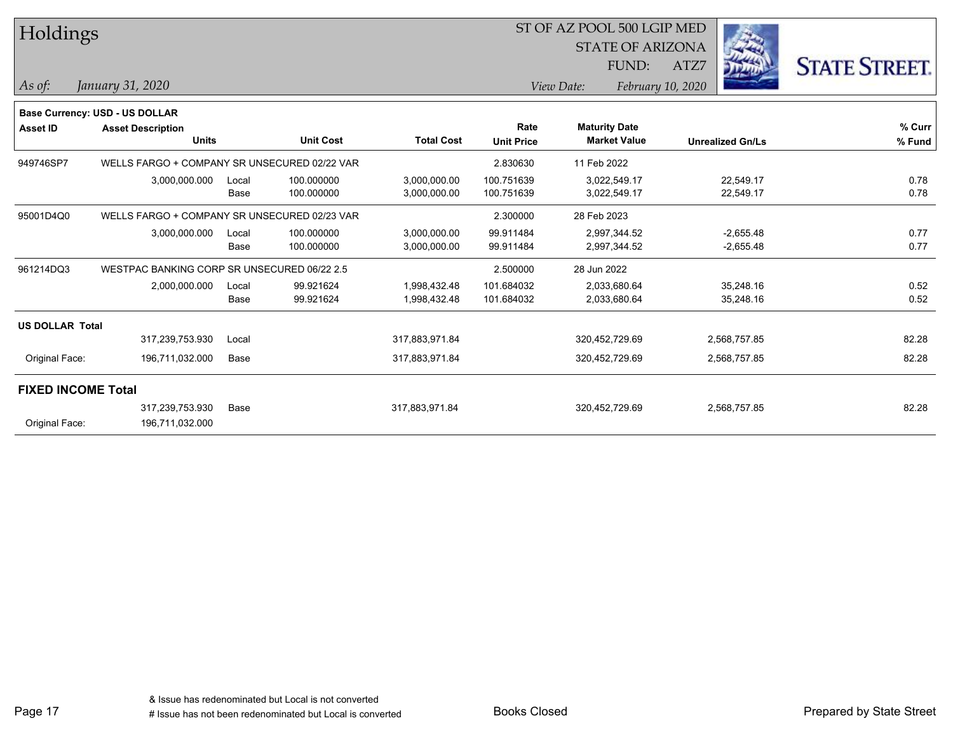| Holdings                  |                                              |       |                  |                   | ST OF AZ POOL 500 LGIP MED |                      |                     |                         |                         |                      |
|---------------------------|----------------------------------------------|-------|------------------|-------------------|----------------------------|----------------------|---------------------|-------------------------|-------------------------|----------------------|
|                           |                                              |       |                  |                   |                            |                      |                     | <b>STATE OF ARIZONA</b> |                         |                      |
|                           |                                              |       |                  |                   |                            |                      | FUND:               | ATZ7                    |                         | <b>STATE STREET.</b> |
| As of:                    | January 31, 2020                             |       |                  |                   |                            | View Date:           |                     | February 10, 2020       |                         |                      |
|                           | <b>Base Currency: USD - US DOLLAR</b>        |       |                  |                   |                            |                      |                     |                         |                         |                      |
| <b>Asset ID</b>           | <b>Asset Description</b>                     |       |                  |                   | Rate                       | <b>Maturity Date</b> |                     |                         |                         | % Curr               |
|                           | <b>Units</b>                                 |       | <b>Unit Cost</b> | <b>Total Cost</b> | <b>Unit Price</b>          |                      | <b>Market Value</b> |                         | <b>Unrealized Gn/Ls</b> | % Fund               |
| 949746SP7                 | WELLS FARGO + COMPANY SR UNSECURED 02/22 VAR |       |                  |                   | 2.830630                   | 11 Feb 2022          |                     |                         |                         |                      |
|                           | 3,000,000.000                                | Local | 100.000000       | 3,000,000.00      | 100.751639                 |                      | 3,022,549.17        |                         | 22,549.17               | 0.78                 |
|                           |                                              | Base  | 100.000000       | 3,000,000.00      | 100.751639                 | 3,022,549.17         |                     |                         | 22,549.17               | 0.78                 |
| 95001D4Q0                 | WELLS FARGO + COMPANY SR UNSECURED 02/23 VAR |       |                  |                   | 2.300000                   | 28 Feb 2023          |                     |                         |                         |                      |
|                           | 3,000,000.000                                | Local | 100.000000       | 3,000,000.00      | 99.911484                  |                      | 2,997,344.52        |                         | $-2,655.48$             | 0.77                 |
|                           |                                              | Base  | 100.000000       | 3,000,000.00      | 99.911484                  |                      | 2,997,344.52        |                         | $-2,655.48$             | 0.77                 |
| 961214DQ3                 | WESTPAC BANKING CORP SR UNSECURED 06/22 2.5  |       |                  |                   | 2.500000                   | 28 Jun 2022          |                     |                         |                         |                      |
|                           | 2,000,000.000                                | Local | 99.921624        | 1,998,432.48      | 101.684032                 | 2,033,680.64         |                     |                         | 35,248.16               | 0.52                 |
|                           |                                              | Base  | 99.921624        | 1,998,432.48      | 101.684032                 | 2,033,680.64         |                     |                         | 35,248.16               | 0.52                 |
| <b>US DOLLAR Total</b>    |                                              |       |                  |                   |                            |                      |                     |                         |                         |                      |
|                           | 317,239,753.930                              | Local |                  | 317,883,971.84    |                            | 320,452,729.69       |                     |                         | 2,568,757.85            | 82.28                |
| Original Face:            | 196,711,032.000                              | Base  |                  | 317,883,971.84    |                            | 320,452,729.69       |                     |                         | 2,568,757.85            | 82.28                |
| <b>FIXED INCOME Total</b> |                                              |       |                  |                   |                            |                      |                     |                         |                         |                      |
|                           | 317,239,753.930                              | Base  |                  | 317,883,971.84    |                            | 320,452,729.69       |                     |                         | 2,568,757.85            | 82.28                |
| Original Face:            | 196,711,032.000                              |       |                  |                   |                            |                      |                     |                         |                         |                      |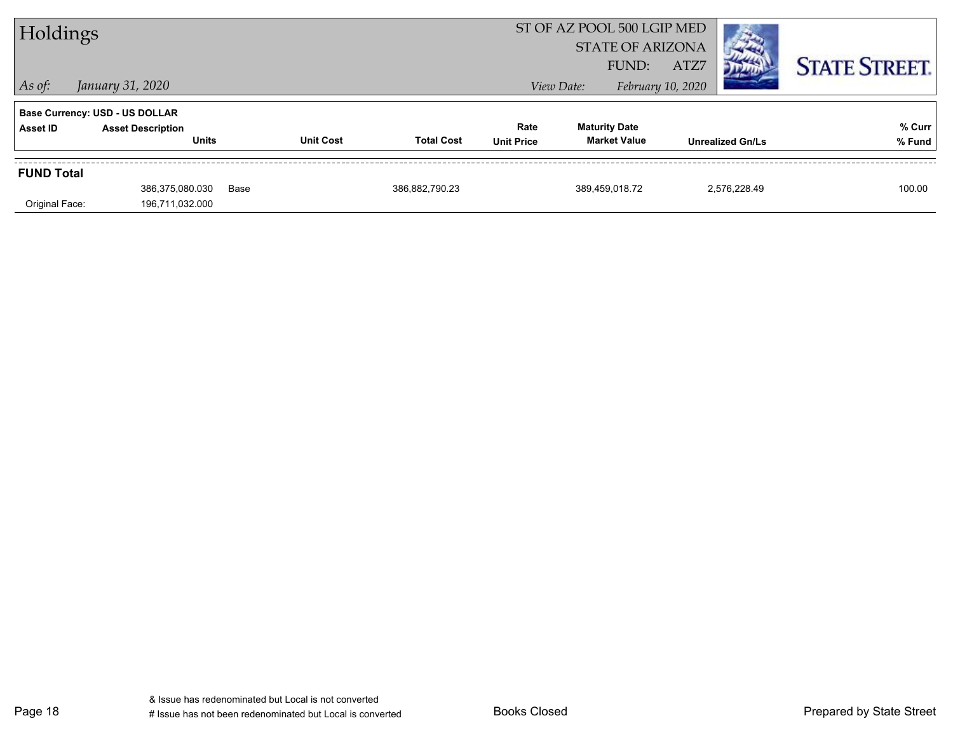| Holdings          |                                          |      |                  | ST OF AZ POOL 500 LGIP MED<br><b>STATE OF ARIZONA</b><br>ATZ7<br>FUND: |                           |            |                                             | <b>STATE STREET.</b> |                         |                  |
|-------------------|------------------------------------------|------|------------------|------------------------------------------------------------------------|---------------------------|------------|---------------------------------------------|----------------------|-------------------------|------------------|
| $\vert$ As of:    | January 31, 2020                         |      |                  |                                                                        |                           | View Date: |                                             | February 10, 2020    |                         |                  |
|                   | <b>Base Currency: USD - US DOLLAR</b>    |      |                  |                                                                        |                           |            |                                             |                      |                         |                  |
| Asset ID          | <b>Asset Description</b><br><b>Units</b> |      | <b>Unit Cost</b> | <b>Total Cost</b>                                                      | Rate<br><b>Unit Price</b> |            | <b>Maturity Date</b><br><b>Market Value</b> |                      | <b>Unrealized Gn/Ls</b> | % Curr<br>% Fund |
| <b>FUND Total</b> |                                          |      |                  |                                                                        |                           |            |                                             |                      |                         |                  |
| Original Face:    | 386,375,080.030<br>196,711,032.000       | Base |                  | 386,882,790.23                                                         |                           |            | 389.459.018.72                              |                      | 2.576.228.49            | 100.00           |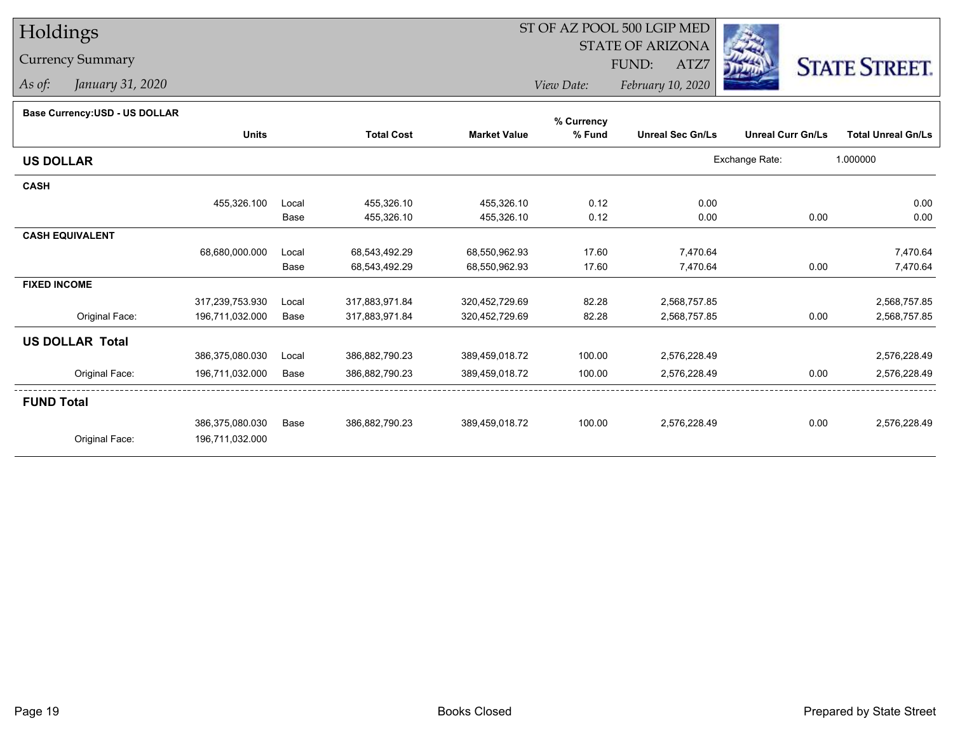# Holdings

### Currency Summary

*As of: January 31, 2020*

## ST OF AZ POOL 500 LGIP MED

 STATE OF ARIZONAFUND:

ATZ7



*View Date:February 10, 2020*

#### **Base Currency:USD - US DOLLAR**

|                        |                 |       |                   |                     | % Currency |                         |                          |                           |
|------------------------|-----------------|-------|-------------------|---------------------|------------|-------------------------|--------------------------|---------------------------|
|                        | <b>Units</b>    |       | <b>Total Cost</b> | <b>Market Value</b> | % Fund     | <b>Unreal Sec Gn/Ls</b> | <b>Unreal Curr Gn/Ls</b> | <b>Total Unreal Gn/Ls</b> |
| <b>US DOLLAR</b>       |                 |       |                   |                     |            |                         | Exchange Rate:           | 1.000000                  |
| <b>CASH</b>            |                 |       |                   |                     |            |                         |                          |                           |
|                        | 455,326.100     | Local | 455,326.10        | 455,326.10          | 0.12       | 0.00                    |                          | 0.00                      |
|                        |                 | Base  | 455,326.10        | 455,326.10          | 0.12       | 0.00                    | 0.00                     | 0.00                      |
| <b>CASH EQUIVALENT</b> |                 |       |                   |                     |            |                         |                          |                           |
|                        | 68,680,000.000  | Local | 68,543,492.29     | 68,550,962.93       | 17.60      | 7,470.64                |                          | 7,470.64                  |
|                        |                 | Base  | 68,543,492.29     | 68,550,962.93       | 17.60      | 7,470.64                | 0.00                     | 7,470.64                  |
| <b>FIXED INCOME</b>    |                 |       |                   |                     |            |                         |                          |                           |
|                        | 317,239,753.930 | Local | 317,883,971.84    | 320,452,729.69      | 82.28      | 2,568,757.85            |                          | 2,568,757.85              |
| Original Face:         | 196,711,032.000 | Base  | 317,883,971.84    | 320,452,729.69      | 82.28      | 2,568,757.85            | 0.00                     | 2,568,757.85              |
| <b>US DOLLAR Total</b> |                 |       |                   |                     |            |                         |                          |                           |
|                        | 386,375,080.030 | Local | 386,882,790.23    | 389,459,018.72      | 100.00     | 2,576,228.49            |                          | 2,576,228.49              |
| Original Face:         | 196,711,032.000 | Base  | 386,882,790.23    | 389,459,018.72      | 100.00     | 2,576,228.49            | 0.00                     | 2,576,228.49              |
| <b>FUND Total</b>      |                 |       |                   |                     |            |                         |                          |                           |
|                        | 386,375,080.030 | Base  | 386,882,790.23    | 389,459,018.72      | 100.00     | 2,576,228.49            | 0.00                     | 2,576,228.49              |
| Original Face:         | 196,711,032.000 |       |                   |                     |            |                         |                          |                           |
|                        |                 |       |                   |                     |            |                         |                          |                           |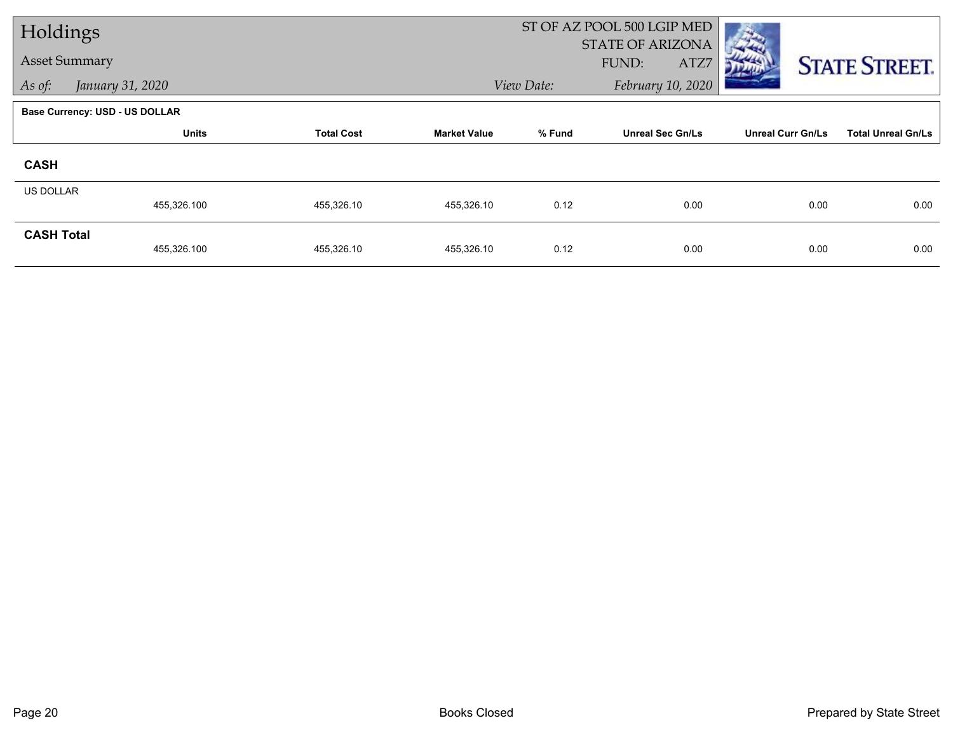| Holdings             |                                |                   |                     | ST OF AZ POOL 500 LGIP MED |                         |                          |                           |  |
|----------------------|--------------------------------|-------------------|---------------------|----------------------------|-------------------------|--------------------------|---------------------------|--|
|                      |                                |                   |                     |                            | <b>STATE OF ARIZONA</b> |                          |                           |  |
| <b>Asset Summary</b> |                                |                   |                     |                            | FUND:<br>ATZ7           |                          | <b>STATE STREET.</b>      |  |
| As of:               | January 31, 2020               |                   |                     | View Date:                 | February 10, 2020       |                          |                           |  |
|                      | Base Currency: USD - US DOLLAR |                   |                     |                            |                         |                          |                           |  |
|                      | <b>Units</b>                   | <b>Total Cost</b> | <b>Market Value</b> | % Fund                     | <b>Unreal Sec Gn/Ls</b> | <b>Unreal Curr Gn/Ls</b> | <b>Total Unreal Gn/Ls</b> |  |
| <b>CASH</b>          |                                |                   |                     |                            |                         |                          |                           |  |
| US DOLLAR            |                                |                   |                     |                            |                         |                          |                           |  |
|                      | 455,326.100                    | 455,326.10        | 455,326.10          | 0.12                       | 0.00                    | 0.00                     | 0.00                      |  |
| <b>CASH Total</b>    |                                |                   |                     |                            |                         |                          |                           |  |
|                      | 455,326.100                    | 455,326.10        | 455,326.10          | 0.12                       | 0.00                    | 0.00                     | 0.00                      |  |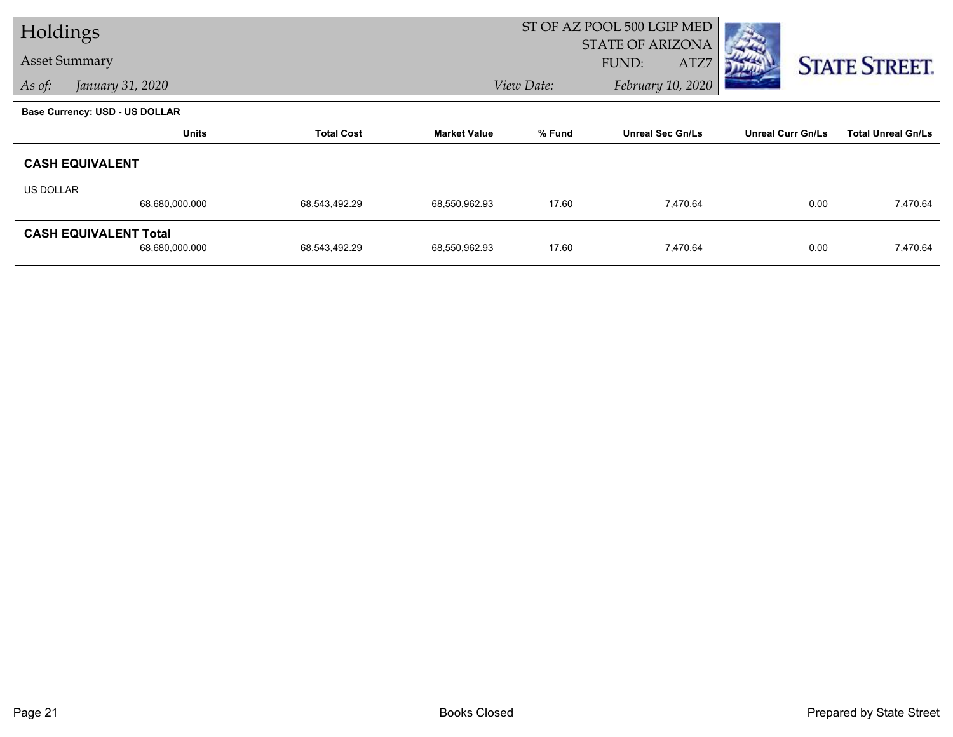| Holdings         |                                       |                   |                     |            | ST OF AZ POOL 500 LGIP MED |                          |                           |  |
|------------------|---------------------------------------|-------------------|---------------------|------------|----------------------------|--------------------------|---------------------------|--|
|                  |                                       |                   |                     |            | <b>STATE OF ARIZONA</b>    |                          |                           |  |
|                  | <b>Asset Summary</b>                  |                   |                     |            | FUND:<br>ATZ7              |                          | <b>STATE STREET.</b>      |  |
| As of:           | January 31, 2020                      |                   |                     | View Date: | February 10, 2020          |                          |                           |  |
|                  | <b>Base Currency: USD - US DOLLAR</b> |                   |                     |            |                            |                          |                           |  |
|                  | <b>Units</b>                          | <b>Total Cost</b> | <b>Market Value</b> | % Fund     | <b>Unreal Sec Gn/Ls</b>    | <b>Unreal Curr Gn/Ls</b> | <b>Total Unreal Gn/Ls</b> |  |
|                  | <b>CASH EQUIVALENT</b>                |                   |                     |            |                            |                          |                           |  |
| <b>US DOLLAR</b> |                                       |                   |                     |            |                            |                          |                           |  |
|                  | 68,680,000.000                        | 68,543,492.29     | 68,550,962.93       | 17.60      | 7,470.64                   | 0.00                     | 7,470.64                  |  |
|                  | <b>CASH EQUIVALENT Total</b>          |                   |                     |            |                            |                          |                           |  |
|                  | 68,680,000.000                        | 68,543,492.29     | 68,550,962.93       | 17.60      | 7,470.64                   | 0.00                     | 7,470.64                  |  |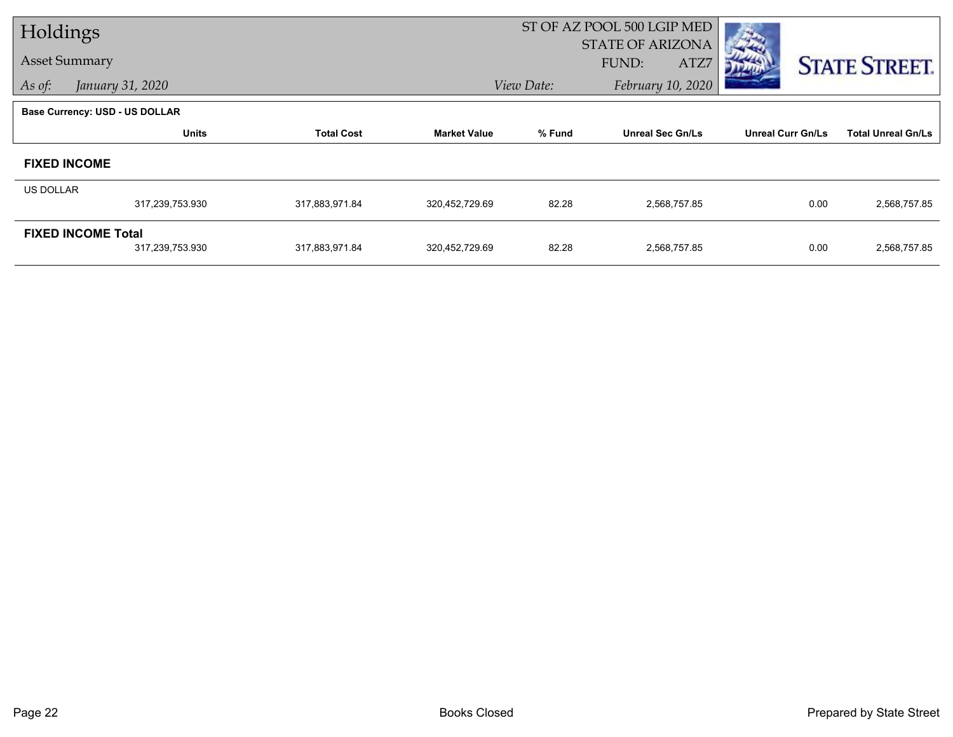| Holdings             |                                       |                   |                     |            | ST OF AZ POOL 500 LGIP MED               |                          |                           |  |
|----------------------|---------------------------------------|-------------------|---------------------|------------|------------------------------------------|--------------------------|---------------------------|--|
| <b>Asset Summary</b> |                                       |                   |                     |            | <b>STATE OF ARIZONA</b><br>FUND:<br>ATZ7 |                          |                           |  |
| As of:               | January 31, 2020                      |                   |                     | View Date: | February 10, 2020                        |                          | <b>STATE STREET.</b>      |  |
|                      | <b>Base Currency: USD - US DOLLAR</b> |                   |                     |            |                                          |                          |                           |  |
|                      | <b>Units</b>                          | <b>Total Cost</b> | <b>Market Value</b> | % Fund     | <b>Unreal Sec Gn/Ls</b>                  | <b>Unreal Curr Gn/Ls</b> | <b>Total Unreal Gn/Ls</b> |  |
|                      | <b>FIXED INCOME</b>                   |                   |                     |            |                                          |                          |                           |  |
| <b>US DOLLAR</b>     |                                       |                   |                     |            |                                          |                          |                           |  |
|                      | 317,239,753.930                       | 317,883,971.84    | 320,452,729.69      | 82.28      | 2,568,757.85                             | 0.00                     | 2,568,757.85              |  |
|                      | <b>FIXED INCOME Total</b>             |                   |                     |            |                                          |                          |                           |  |
|                      | 317,239,753.930                       | 317,883,971.84    | 320,452,729.69      | 82.28      | 2,568,757.85                             | 0.00                     | 2,568,757.85              |  |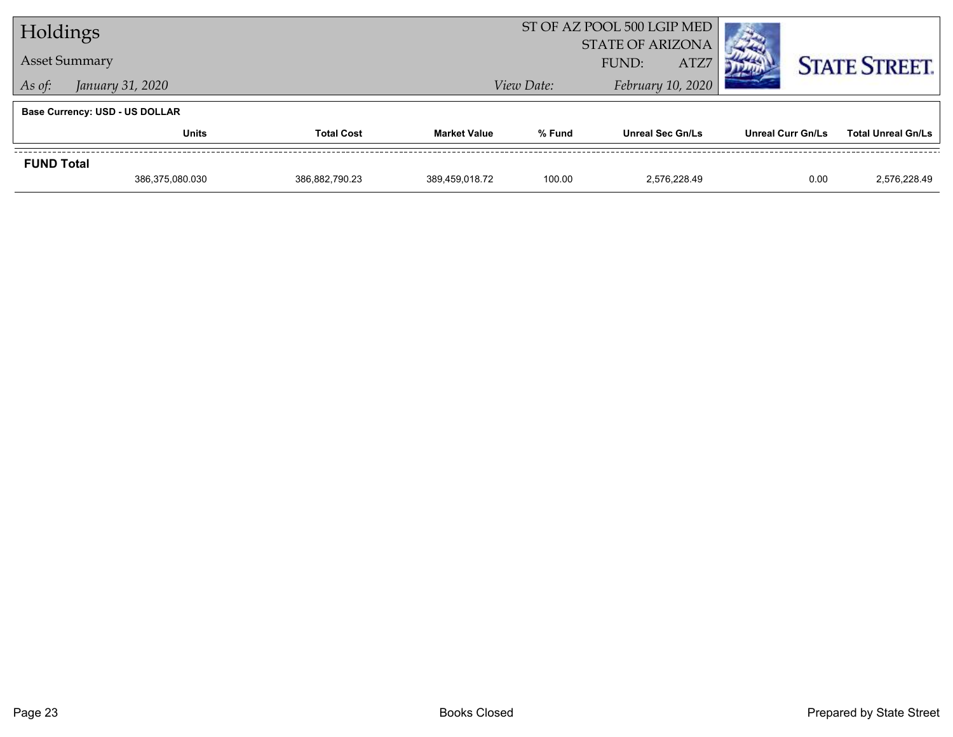| Holdings          |                                       |                   |                     |            | ST OF AZ POOL 500 LGIP MED               |                          |                           |
|-------------------|---------------------------------------|-------------------|---------------------|------------|------------------------------------------|--------------------------|---------------------------|
|                   | <b>Asset Summary</b>                  |                   |                     |            | <b>STATE OF ARIZONA</b><br>ATZ7<br>FUND: |                          | <b>STATE STREET.</b>      |
| As of:            | January 31, 2020                      |                   |                     | View Date: | February 10, 2020                        |                          |                           |
|                   | <b>Base Currency: USD - US DOLLAR</b> |                   |                     |            |                                          |                          |                           |
|                   | <b>Units</b>                          | <b>Total Cost</b> | <b>Market Value</b> | % Fund     | <b>Unreal Sec Gn/Ls</b>                  | <b>Unreal Curr Gn/Ls</b> | <b>Total Unreal Gn/Ls</b> |
| <b>FUND Total</b> |                                       |                   |                     |            |                                          |                          |                           |
|                   | 386,375,080.030                       | 386,882,790.23    | 389.459.018.72      | 100.00     | 2.576.228.49                             | 0.00                     | 2.576.228.49              |